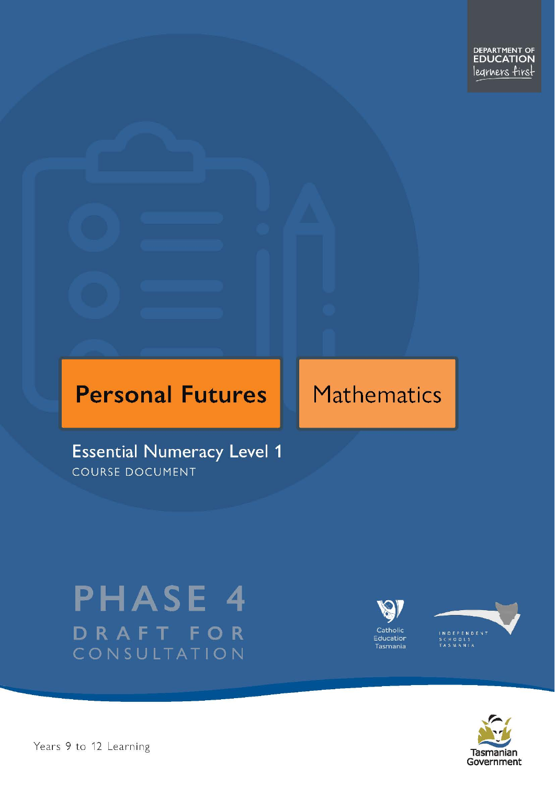# **Personal Futures**

# Mathematics

**Essential Numeracy Level 1** COURSE DOCUMENT

# **PHASE 4** DRAFT FOR CONSULTATION





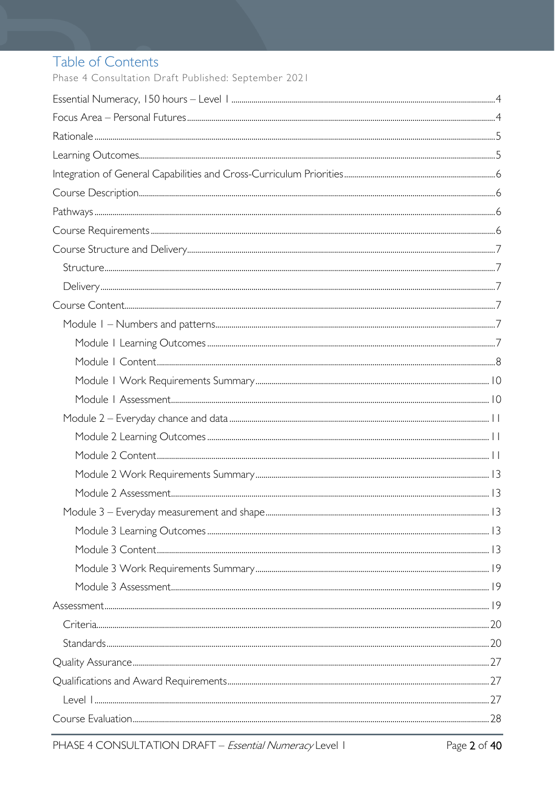## Table of Contents

Phase 4 Consultation Draft Published: September 2021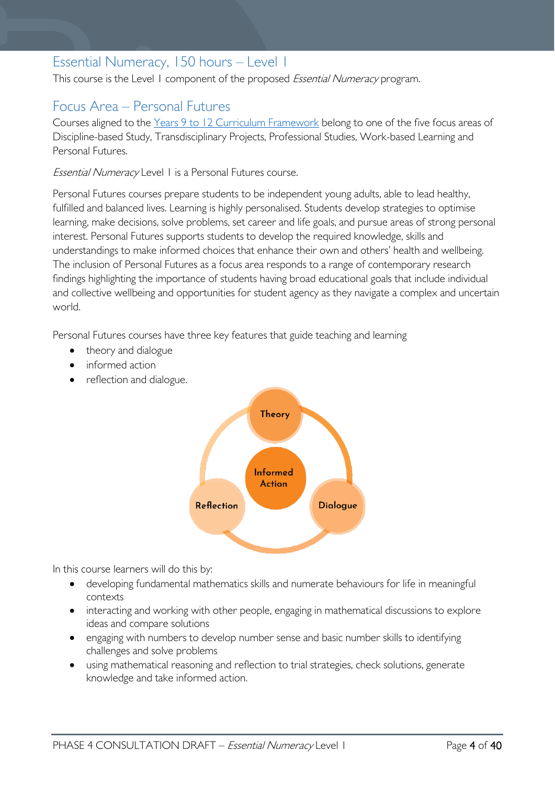## <span id="page-3-0"></span>Essential Numeracy, 150 hours – Level 1

This course is the Level 1 component of the proposed Essential Numeracy program.

## <span id="page-3-1"></span>Focus Area – Personal Futures

Courses aligned to the [Years 9 to 12 Curriculum Framework](https://publicdocumentcentre.education.tas.gov.au/library/Shared%20Documents/Education%209-12%20Frameworks%20A3%20WEB%20POSTER.pdf) belong to one of the five focus areas of Discipline-based Study, Transdisciplinary Projects, Professional Studies, Work-based Learning and Personal Futures.

Essential Numeracy Level 1 is a Personal Futures course.

Personal Futures courses prepare students to be independent young adults, able to lead healthy, fulfilled and balanced lives. Learning is highly personalised. Students develop strategies to optimise learning, make decisions, solve problems, set career and life goals, and pursue areas of strong personal interest. Personal Futures supports students to develop the required knowledge, skills and understandings to make informed choices that enhance their own and others' health and wellbeing. The inclusion of Personal Futures as a focus area responds to a range of contemporary research findings highlighting the importance of students having broad educational goals that include individual and collective wellbeing and opportunities for student agency as they navigate a complex and uncertain world.

Personal Futures courses have three key features that guide teaching and learning

- theory and dialogue
- informed action
- reflection and dialogue.



In this course learners will do this by:

- developing fundamental mathematics skills and numerate behaviours for life in meaningful contexts
- interacting and working with other people, engaging in mathematical discussions to explore ideas and compare solutions
- engaging with numbers to develop number sense and basic number skills to identifying challenges and solve problems
- using mathematical reasoning and reflection to trial strategies, check solutions, generate knowledge and take informed action.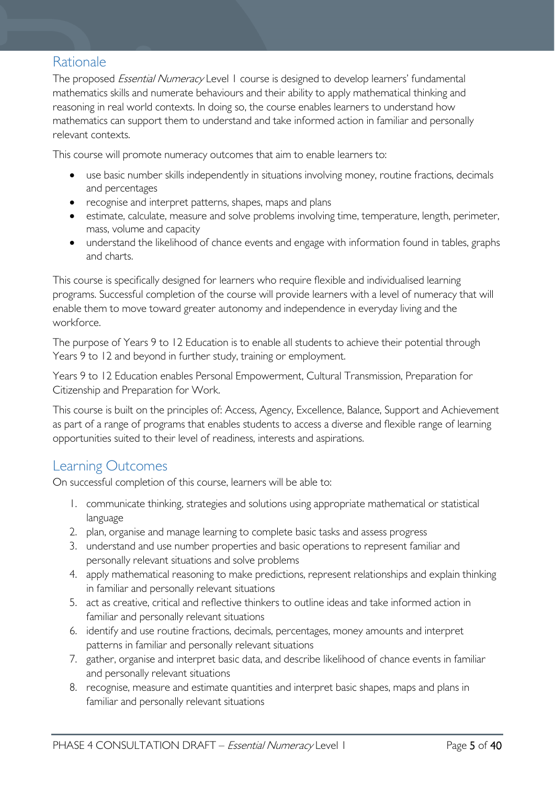## <span id="page-4-0"></span>Rationale

The proposed *Essential Numeracy* Level 1 course is designed to develop learners' fundamental mathematics skills and numerate behaviours and their ability to apply mathematical thinking and reasoning in real world contexts. In doing so, the course enables learners to understand how mathematics can support them to understand and take informed action in familiar and personally relevant contexts.

This course will promote numeracy outcomes that aim to enable learners to:

- use basic number skills independently in situations involving money, routine fractions, decimals and percentages
- recognise and interpret patterns, shapes, maps and plans
- estimate, calculate, measure and solve problems involving time, temperature, length, perimeter, mass, volume and capacity
- understand the likelihood of chance events and engage with information found in tables, graphs and charts.

This course is specifically designed for learners who require flexible and individualised learning programs. Successful completion of the course will provide learners with a level of numeracy that will enable them to move toward greater autonomy and independence in everyday living and the workforce.

The purpose of Years 9 to 12 Education is to enable all students to achieve their potential through Years 9 to 12 and beyond in further study, training or employment.

Years 9 to 12 Education enables Personal Empowerment, Cultural Transmission, Preparation for Citizenship and Preparation for Work.

This course is built on the principles of: Access, Agency, Excellence, Balance, Support and Achievement as part of a range of programs that enables students to access a diverse and flexible range of learning opportunities suited to their level of readiness, interests and aspirations.

## <span id="page-4-1"></span>Learning Outcomes

On successful completion of this course, learners will be able to:

- 1. communicate thinking, strategies and solutions using appropriate mathematical or statistical language
- 2. plan, organise and manage learning to complete basic tasks and assess progress
- 3. understand and use number properties and basic operations to represent familiar and personally relevant situations and solve problems
- 4. apply mathematical reasoning to make predictions, represent relationships and explain thinking in familiar and personally relevant situations
- 5. act as creative, critical and reflective thinkers to outline ideas and take informed action in familiar and personally relevant situations
- 6. identify and use routine fractions, decimals, percentages, money amounts and interpret patterns in familiar and personally relevant situations
- 7. gather, organise and interpret basic data, and describe likelihood of chance events in familiar and personally relevant situations
- 8. recognise, measure and estimate quantities and interpret basic shapes, maps and plans in familiar and personally relevant situations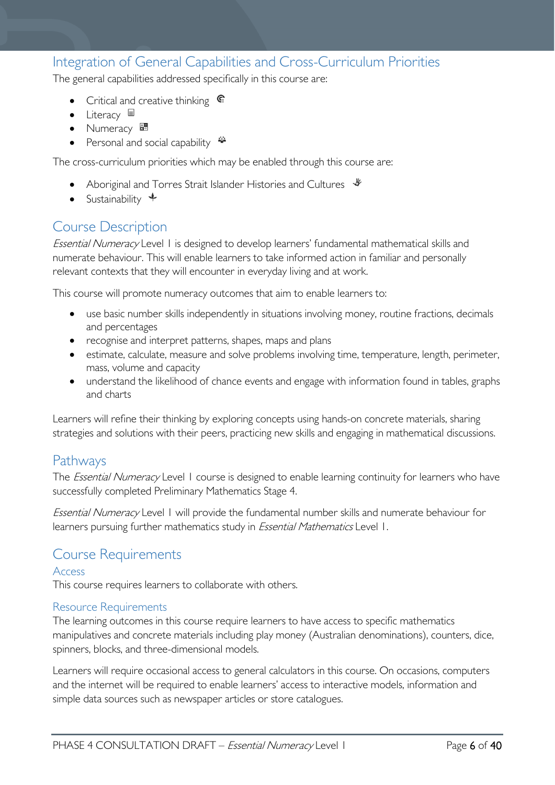## <span id="page-5-0"></span>Integration of General Capabilities and Cross-Curriculum Priorities

The general capabilities addressed specifically in this course are:

- Critical and creative thinking  $\epsilon$
- Literacy
- Numeracy
- Personal and social capability

The cross-curriculum priorities which may be enabled through this course are:

- Aboriginal and Torres Strait Islander Histories and Cultures  $\frac{1}{2}$
- Sustainability  $\triangleq$

## <span id="page-5-1"></span>Course Description

Essential Numeracy Level 1 is designed to develop learners' fundamental mathematical skills and numerate behaviour. This will enable learners to take informed action in familiar and personally relevant contexts that they will encounter in everyday living and at work.

This course will promote numeracy outcomes that aim to enable learners to:

- use basic number skills independently in situations involving money, routine fractions, decimals and percentages
- recognise and interpret patterns, shapes, maps and plans
- estimate, calculate, measure and solve problems involving time, temperature, length, perimeter, mass, volume and capacity
- understand the likelihood of chance events and engage with information found in tables, graphs and charts

Learners will refine their thinking by exploring concepts using hands-on concrete materials, sharing strategies and solutions with their peers, practicing new skills and engaging in mathematical discussions.

## <span id="page-5-2"></span>Pathways

The *Essential Numeracy* Level 1 course is designed to enable learning continuity for learners who have successfully completed Preliminary Mathematics Stage 4.

Essential Numeracy Level 1 will provide the fundamental number skills and numerate behaviour for learners pursuing further mathematics study in *Essential Mathematics* Level 1.

## <span id="page-5-3"></span>Course Requirements

#### Access

This course requires learners to collaborate with others.

#### Resource Requirements

The learning outcomes in this course require learners to have access to specific mathematics manipulatives and concrete materials including play money (Australian denominations), counters, dice, spinners, blocks, and three-dimensional models.

Learners will require occasional access to general calculators in this course. On occasions, computers and the internet will be required to enable learners' access to interactive models, information and simple data sources such as newspaper articles or store catalogues.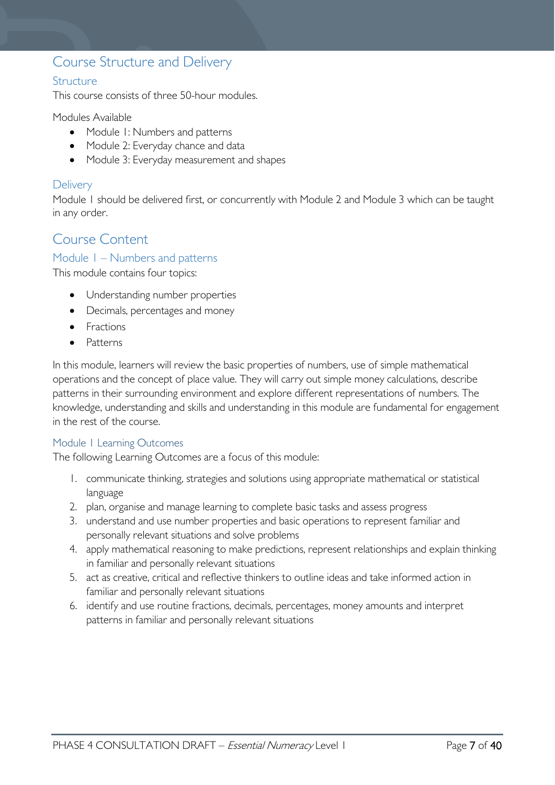## <span id="page-6-0"></span>Course Structure and Delivery

#### <span id="page-6-1"></span>**Structure**

This course consists of three 50-hour modules.

Modules Available

- Module 1: Numbers and patterns
- Module 2: Everyday chance and data
- Module 3: Everyday measurement and shapes

#### <span id="page-6-2"></span>**Delivery**

Module 1 should be delivered first, or concurrently with Module 2 and Module 3 which can be taught in any order.

## <span id="page-6-3"></span>Course Content

#### <span id="page-6-4"></span>Module 1 – Numbers and patterns

This module contains four topics:

- Understanding number properties
- Decimals, percentages and money
- Fractions
- Patterns

In this module, learners will review the basic properties of numbers, use of simple mathematical operations and the concept of place value. They will carry out simple money calculations, describe patterns in their surrounding environment and explore different representations of numbers. The knowledge, understanding and skills and understanding in this module are fundamental for engagement in the rest of the course.

#### <span id="page-6-5"></span>Module 1 Learning Outcomes

The following Learning Outcomes are a focus of this module:

- 1. communicate thinking, strategies and solutions using appropriate mathematical or statistical language
- 2. plan, organise and manage learning to complete basic tasks and assess progress
- 3. understand and use number properties and basic operations to represent familiar and personally relevant situations and solve problems
- 4. apply mathematical reasoning to make predictions, represent relationships and explain thinking in familiar and personally relevant situations
- 5. act as creative, critical and reflective thinkers to outline ideas and take informed action in familiar and personally relevant situations
- 6. identify and use routine fractions, decimals, percentages, money amounts and interpret patterns in familiar and personally relevant situations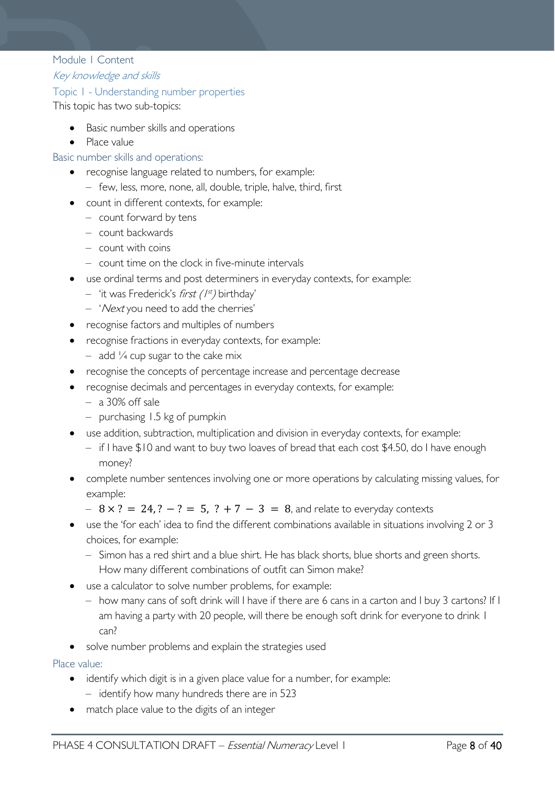#### <span id="page-7-0"></span>Module 1 Content

Key knowledge and skills

#### Topic 1 - Understanding number properties

This topic has two sub-topics:

- Basic number skills and operations
- Place value

#### Basic number skills and operations:

- recognise language related to numbers, for example:
	- few, less, more, none, all, double, triple, halve, third, first
- count in different contexts, for example:
	- count forward by tens
	- count backwards
	- count with coins
	- count time on the clock in five-minute intervals
- use ordinal terms and post determiners in everyday contexts, for example:
	- $-$  'it was Frederick's *first* ( $1^{st}$ ) birthday'
	- 'Next you need to add the cherries'
- recognise factors and multiples of numbers
- recognise fractions in everyday contexts, for example:
	- $-$  add  $\frac{1}{4}$  cup sugar to the cake mix
- recognise the concepts of percentage increase and percentage decrease
- recognise decimals and percentages in everyday contexts, for example:
	- a 30% off sale
	- purchasing 1.5 kg of pumpkin
- use addition, subtraction, multiplication and division in everyday contexts, for example:
	- if I have \$10 and want to buy two loaves of bread that each cost \$4.50, do I have enough money?
- complete number sentences involving one or more operations by calculating missing values, for example:
	- $8 \times ? = 24. ? ? = 5. ? + 7 3 = 8$ , and relate to everyday contexts
- use the 'for each' idea to find the different combinations available in situations involving 2 or 3 choices, for example:
	- Simon has a red shirt and a blue shirt. He has black shorts, blue shorts and green shorts. How many different combinations of outfit can Simon make?
- use a calculator to solve number problems, for example:
	- how many cans of soft drink will I have if there are 6 cans in a carton and I buy 3 cartons? If I am having a party with 20 people, will there be enough soft drink for everyone to drink I can?
- solve number problems and explain the strategies used

Place value:

- identify which digit is in a given place value for a number, for example:
	- identify how many hundreds there are in 523
- match place value to the digits of an integer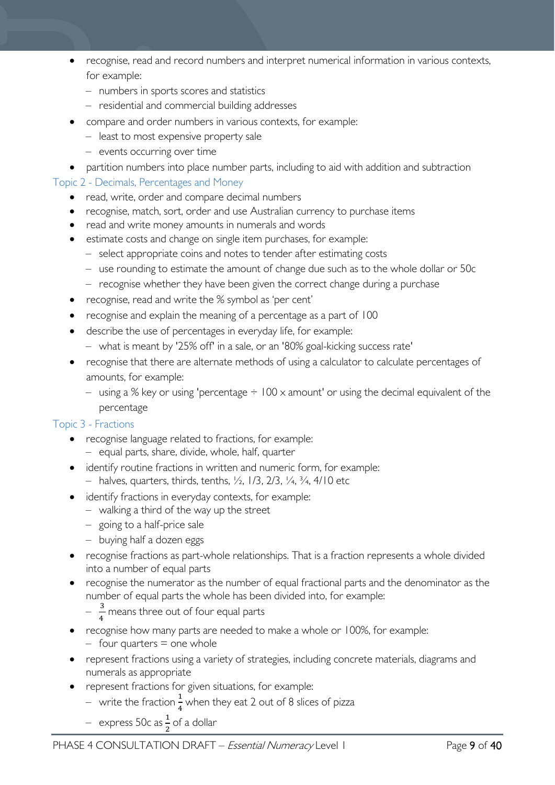- recognise, read and record numbers and interpret numerical information in various contexts, for example:
	- numbers in sports scores and statistics
	- residential and commercial building addresses
- compare and order numbers in various contexts, for example:
	- least to most expensive property sale
	- events occurring over time
- partition numbers into place number parts, including to aid with addition and subtraction

#### Topic 2 - Decimals, Percentages and Money

- read, write, order and compare decimal numbers
- recognise, match, sort, order and use Australian currency to purchase items
- read and write money amounts in numerals and words
- estimate costs and change on single item purchases, for example:
	- select appropriate coins and notes to tender after estimating costs
	- use rounding to estimate the amount of change due such as to the whole dollar or 50c
	- recognise whether they have been given the correct change during a purchase
- recognise, read and write the % symbol as 'per cent'
- recognise and explain the meaning of a percentage as a part of 100
- describe the use of percentages in everyday life, for example:
	- what is meant by '25% off' in a sale, or an '80% goal-kicking success rate'
- recognise that there are alternate methods of using a calculator to calculate percentages of amounts, for example:
	- using a % key or using 'percentage  $\div 100 \times$  amount' or using the decimal equivalent of the percentage

#### Topic 3 - Fractions

- recognise language related to fractions, for example: – equal parts, share, divide, whole, half, quarter
- identify routine fractions in written and numeric form, for example: - halves, quarters, thirds, tenths,  $\frac{1}{2}$ ,  $\frac{1}{3}$ ,  $\frac{2}{3}$ ,  $\frac{1}{4}$ ,  $\frac{3}{4}$ ,  $\frac{4}{10}$  etc
- identify fractions in everyday contexts, for example:
	- walking a third of the way up the street
	- going to a half-price sale
	- buying half a dozen eggs
- recognise fractions as part-whole relationships. That is a fraction represents a whole divided into a number of equal parts
- recognise the numerator as the number of equal fractional parts and the denominator as the number of equal parts the whole has been divided into, for example:
	- $-\frac{3}{4}$  means three out of four equal parts
- recognise how many parts are needed to make a whole or 100%, for example:
	- $-$  four quarters  $=$  one whole
- represent fractions using a variety of strategies, including concrete materials, diagrams and numerals as appropriate
- represent fractions for given situations, for example:
	- $-$  write the fraction  $\frac{1}{4}$  when they eat 2 out of 8 slices of pizza
	- $-$  express 50c as  $\frac{1}{2}$  of a dollar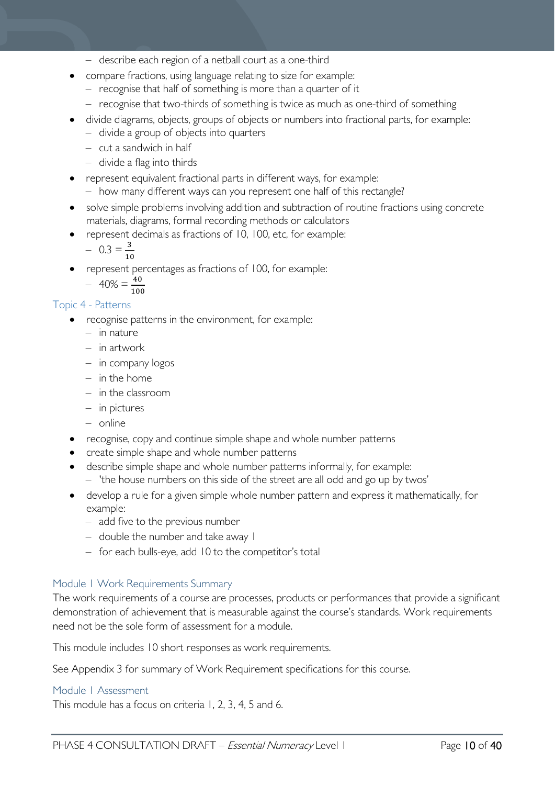- describe each region of a netball court as a one-third
- compare fractions, using language relating to size for example:
	- recognise that half of something is more than a quarter of it
	- recognise that two-thirds of something is twice as much as one-third of something
- divide diagrams, objects, groups of objects or numbers into fractional parts, for example:
	- divide a group of objects into quarters
	- cut a sandwich in half
	- divide a flag into thirds
- represent equivalent fractional parts in different ways, for example:
- how many different ways can you represent one half of this rectangle?
- solve simple problems involving addition and subtraction of routine fractions using concrete materials, diagrams, formal recording methods or calculators
- represent decimals as fractions of 10, 100, etc, for example:

$$
- 0.3 = \frac{3}{10}
$$

• represent percentages as fractions of 100, for example:

$$
- 40\% = \frac{40}{100}
$$

#### Topic 4 - Patterns

- recognise patterns in the environment, for example:
	- in nature
	- in artwork
	- in company logos
	- in the home
	- in the classroom
	- in pictures
	- online
- recognise, copy and continue simple shape and whole number patterns
- create simple shape and whole number patterns
- describe simple shape and whole number patterns informally, for example:
	- 'the house numbers on this side of the street are all odd and go up by twos'
- develop a rule for a given simple whole number pattern and express it mathematically, for example:
	- add five to the previous number
	- double the number and take away 1
	- for each bulls-eye, add 10 to the competitor's total

#### <span id="page-9-0"></span>Module 1 Work Requirements Summary

The work requirements of a course are processes, products or performances that provide a significant demonstration of achievement that is measurable against the course's standards. Work requirements need not be the sole form of assessment for a module.

This module includes 10 short responses as work requirements.

See Appendix 3 for summary of Work Requirement specifications for this course.

#### <span id="page-9-1"></span>Module 1 Assessment

This module has a focus on criteria 1, 2, 3, 4, 5 and 6.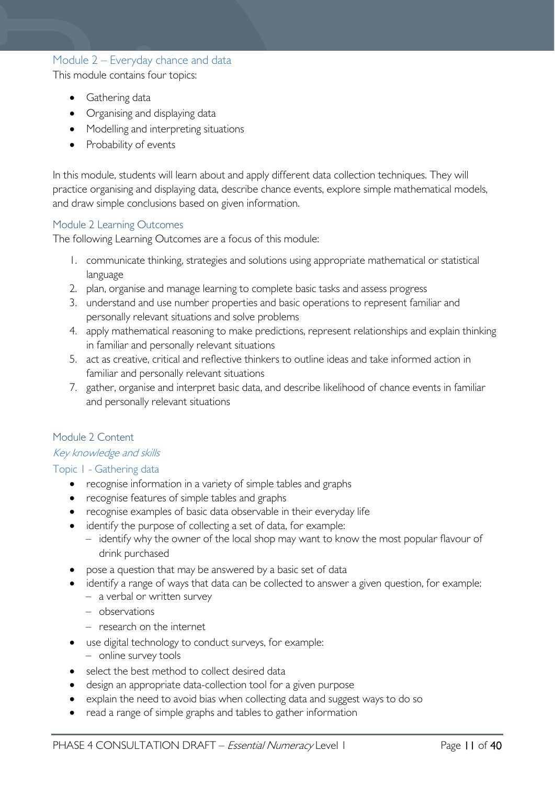## <span id="page-10-0"></span>Module 2 – Everyday chance and data

This module contains four topics:

- Gathering data
- Organising and displaying data
- Modelling and interpreting situations
- Probability of events

In this module, students will learn about and apply different data collection techniques. They will practice organising and displaying data, describe chance events, explore simple mathematical models, and draw simple conclusions based on given information.

#### <span id="page-10-1"></span>Module 2 Learning Outcomes

The following Learning Outcomes are a focus of this module:

- 1. communicate thinking, strategies and solutions using appropriate mathematical or statistical language
- 2. plan, organise and manage learning to complete basic tasks and assess progress
- 3. understand and use number properties and basic operations to represent familiar and personally relevant situations and solve problems
- 4. apply mathematical reasoning to make predictions, represent relationships and explain thinking in familiar and personally relevant situations
- 5. act as creative, critical and reflective thinkers to outline ideas and take informed action in familiar and personally relevant situations
- 7. gather, organise and interpret basic data, and describe likelihood of chance events in familiar and personally relevant situations

#### <span id="page-10-2"></span>Module 2 Content

#### Key knowledge and skills

#### Topic 1 - Gathering data

- recognise information in a variety of simple tables and graphs
- recognise features of simple tables and graphs
- recognise examples of basic data observable in their everyday life
- identify the purpose of collecting a set of data, for example:
	- identify why the owner of the local shop may want to know the most popular flavour of drink purchased
- pose a question that may be answered by a basic set of data
- identify a range of ways that data can be collected to answer a given question, for example:
	- a verbal or written survey
	- observations
	- research on the internet
- use digital technology to conduct surveys, for example:
	- online survey tools
- select the best method to collect desired data
- design an appropriate data-collection tool for a given purpose
- explain the need to avoid bias when collecting data and suggest ways to do so
- read a range of simple graphs and tables to gather information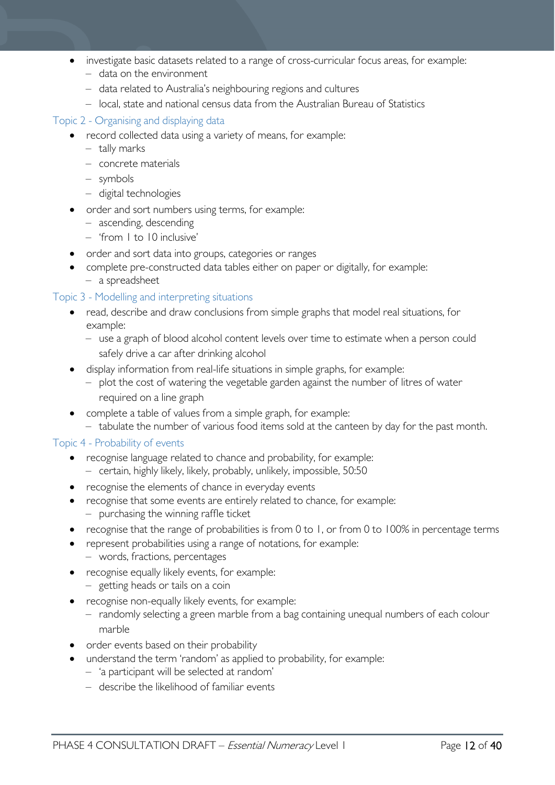- investigate basic datasets related to a range of cross-curricular focus areas, for example:
	- data on the environment
	- data related to Australia's neighbouring regions and cultures
	- local, state and national census data from the Australian Bureau of Statistics

#### Topic 2 - Organising and displaying data

- record collected data using a variety of means, for example:
	- tally marks
	- concrete materials
	- symbols
	- digital technologies
- order and sort numbers using terms, for example:
	- ascending, descending
	- 'from 1 to 10 inclusive'
- order and sort data into groups, categories or ranges
- complete pre-constructed data tables either on paper or digitally, for example: – a spreadsheet

#### Topic 3 - Modelling and interpreting situations

- read, describe and draw conclusions from simple graphs that model real situations, for example:
	- use a graph of blood alcohol content levels over time to estimate when a person could safely drive a car after drinking alcohol
- display information from real-life situations in simple graphs, for example:
	- plot the cost of watering the vegetable garden against the number of litres of water required on a line graph
- complete a table of values from a simple graph, for example:
	- tabulate the number of various food items sold at the canteen by day for the past month.

#### Topic 4 - Probability of events

- recognise language related to chance and probability, for example: – certain, highly likely, likely, probably, unlikely, impossible, 50:50
- recognise the elements of chance in everyday events
- recognise that some events are entirely related to chance, for example: – purchasing the winning raffle ticket
- recognise that the range of probabilities is from 0 to 1, or from 0 to 100% in percentage terms
- represent probabilities using a range of notations, for example: – words, fractions, percentages
- recognise equally likely events, for example: – getting heads or tails on a coin
- recognise non-equally likely events, for example:
	- randomly selecting a green marble from a bag containing unequal numbers of each colour marble
- order events based on their probability
- understand the term 'random' as applied to probability, for example:
	- 'a participant will be selected at random'
	- describe the likelihood of familiar events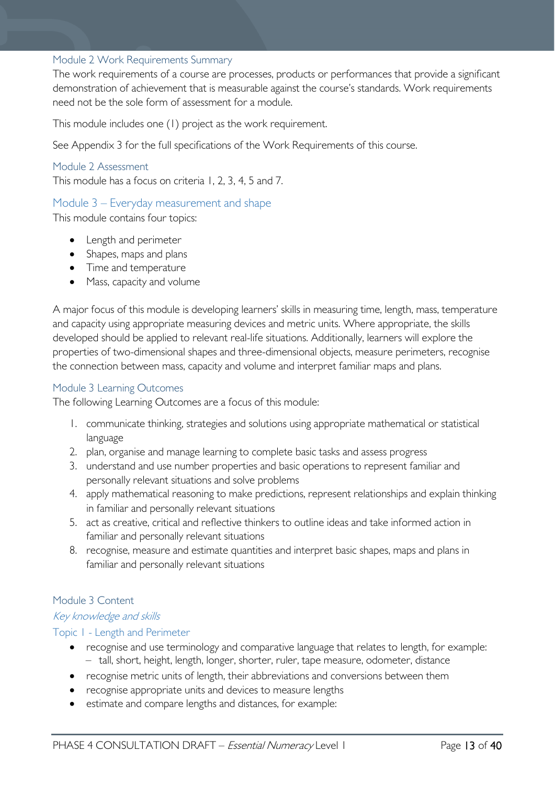#### <span id="page-12-0"></span>Module 2 Work Requirements Summary

The work requirements of a course are processes, products or performances that provide a significant demonstration of achievement that is measurable against the course's standards. Work requirements need not be the sole form of assessment for a module.

This module includes one (1) project as the work requirement.

See Appendix 3 for the full specifications of the Work Requirements of this course.

#### <span id="page-12-1"></span>Module 2 Assessment

This module has a focus on criteria 1, 2, 3, 4, 5 and 7.

#### <span id="page-12-2"></span>Module 3 – Everyday measurement and shape

This module contains four topics:

- Length and perimeter
- Shapes, maps and plans
- Time and temperature
- Mass, capacity and volume

A major focus of this module is developing learners' skills in measuring time, length, mass, temperature and capacity using appropriate measuring devices and metric units. Where appropriate, the skills developed should be applied to relevant real-life situations. Additionally, learners will explore the properties of two-dimensional shapes and three-dimensional objects, measure perimeters, recognise the connection between mass, capacity and volume and interpret familiar maps and plans.

#### <span id="page-12-3"></span>Module 3 Learning Outcomes

The following Learning Outcomes are a focus of this module:

- 1. communicate thinking, strategies and solutions using appropriate mathematical or statistical language
- 2. plan, organise and manage learning to complete basic tasks and assess progress
- 3. understand and use number properties and basic operations to represent familiar and personally relevant situations and solve problems
- 4. apply mathematical reasoning to make predictions, represent relationships and explain thinking in familiar and personally relevant situations
- 5. act as creative, critical and reflective thinkers to outline ideas and take informed action in familiar and personally relevant situations
- 8. recognise, measure and estimate quantities and interpret basic shapes, maps and plans in familiar and personally relevant situations

#### <span id="page-12-4"></span>Module 3 Content

#### Key knowledge and skills

#### Topic 1 - Length and Perimeter

- recognise and use terminology and comparative language that relates to length, for example: – tall, short, height, length, longer, shorter, ruler, tape measure, odometer, distance
- recognise metric units of length, their abbreviations and conversions between them
- recognise appropriate units and devices to measure lengths
- estimate and compare lengths and distances, for example: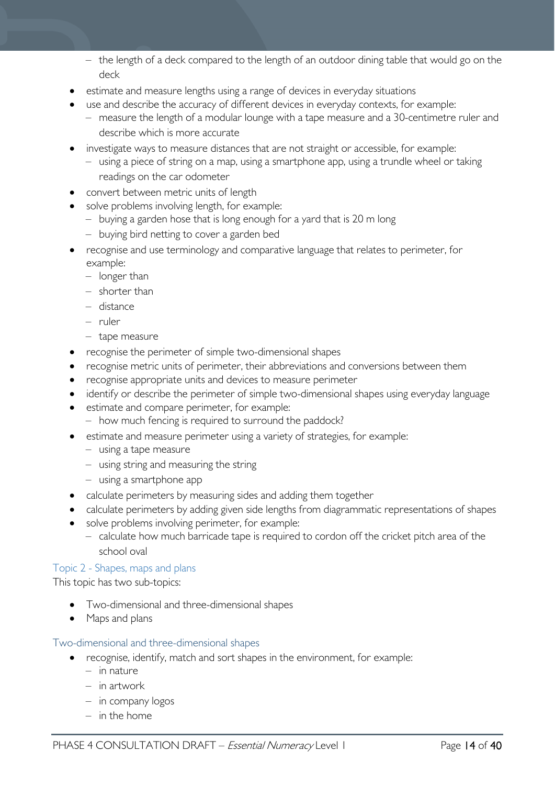- the length of a deck compared to the length of an outdoor dining table that would go on the deck
- estimate and measure lengths using a range of devices in everyday situations
- use and describe the accuracy of different devices in everyday contexts, for example:
	- measure the length of a modular lounge with a tape measure and a 30-centimetre ruler and describe which is more accurate
- investigate ways to measure distances that are not straight or accessible, for example:
	- using a piece of string on a map, using a smartphone app, using a trundle wheel or taking readings on the car odometer
- convert between metric units of length
- solve problems involving length, for example:
	- buying a garden hose that is long enough for a yard that is 20 m long
	- buying bird netting to cover a garden bed
- recognise and use terminology and comparative language that relates to perimeter, for example:
	- longer than
	- shorter than
	- distance
	- ruler
	- tape measure
- recognise the perimeter of simple two-dimensional shapes
- recognise metric units of perimeter, their abbreviations and conversions between them
- recognise appropriate units and devices to measure perimeter
- identify or describe the perimeter of simple two-dimensional shapes using everyday language
- estimate and compare perimeter, for example:
	- how much fencing is required to surround the paddock?
- estimate and measure perimeter using a variety of strategies, for example:
	- using a tape measure
	- using string and measuring the string
	- using a smartphone app
- calculate perimeters by measuring sides and adding them together
- calculate perimeters by adding given side lengths from diagrammatic representations of shapes
- solve problems involving perimeter, for example:
	- calculate how much barricade tape is required to cordon off the cricket pitch area of the school oval

Topic 2 - Shapes, maps and plans

This topic has two sub-topics:

- Two-dimensional and three-dimensional shapes
- Maps and plans

#### Two-dimensional and three-dimensional shapes

- recognise, identify, match and sort shapes in the environment, for example:
	- in nature
	- in artwork
	- in company logos
	- in the home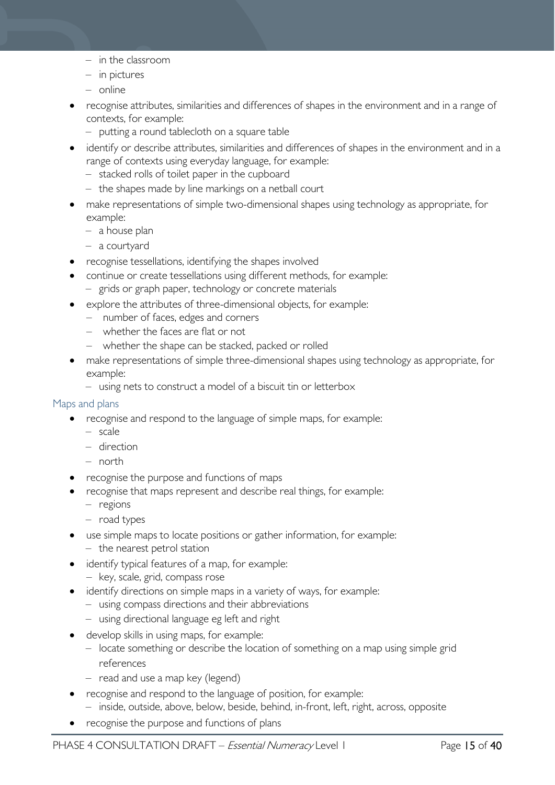- in the classroom
- in pictures
- online
- recognise attributes, similarities and differences of shapes in the environment and in a range of contexts, for example:
	- putting a round tablecloth on a square table
- identify or describe attributes, similarities and differences of shapes in the environment and in a range of contexts using everyday language, for example:
	- stacked rolls of toilet paper in the cupboard
	- the shapes made by line markings on a netball court
- make representations of simple two-dimensional shapes using technology as appropriate, for example:
	- a house plan
	- a courtyard
- recognise tessellations, identifying the shapes involved
- continue or create tessellations using different methods, for example: – grids or graph paper, technology or concrete materials
- explore the attributes of three-dimensional objects, for example:
	- number of faces, edges and corners
	- whether the faces are flat or not
	- whether the shape can be stacked, packed or rolled
- make representations of simple three-dimensional shapes using technology as appropriate, for example:
	- using nets to construct a model of a biscuit tin or letterbox

#### Maps and plans

- recognise and respond to the language of simple maps, for example:
	- scale
	- direction
	- north
- recognise the purpose and functions of maps
- recognise that maps represent and describe real things, for example:
	- regions
	- road types
- use simple maps to locate positions or gather information, for example: – the nearest petrol station
- identify typical features of a map, for example:
	- key, scale, grid, compass rose
- identify directions on simple maps in a variety of ways, for example:
	- using compass directions and their abbreviations
	- using directional language eg left and right
- develop skills in using maps, for example:
	- locate something or describe the location of something on a map using simple grid references
	- read and use a map key (legend)
- recognise and respond to the language of position, for example:
	- inside, outside, above, below, beside, behind, in-front, left, right, across, opposite
- recognise the purpose and functions of plans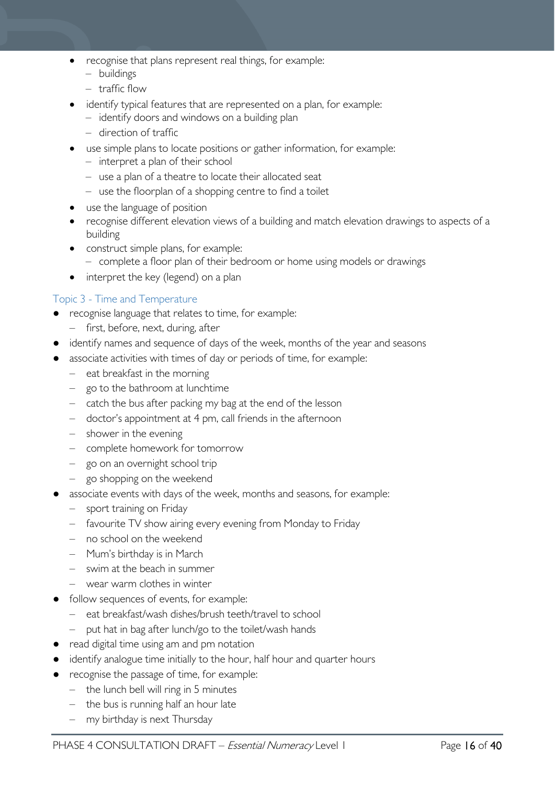- recognise that plans represent real things, for example:
	- buildings
	- traffic flow
- identify typical features that are represented on a plan, for example:
	- identify doors and windows on a building plan
	- direction of traffic
- use simple plans to locate positions or gather information, for example:
	- interpret a plan of their school
	- use a plan of a theatre to locate their allocated seat
	- use the floorplan of a shopping centre to find a toilet
- use the language of position
- recognise different elevation views of a building and match elevation drawings to aspects of a building
- construct simple plans, for example: – complete a floor plan of their bedroom or home using models or drawings
- interpret the key (legend) on a plan

#### Topic 3 - Time and Temperature

- recognise language that relates to time, for example:
	- first, before, next, during, after
- identify names and sequence of days of the week, months of the year and seasons
- associate activities with times of day or periods of time, for example:
	- eat breakfast in the morning
	- go to the bathroom at lunchtime
	- catch the bus after packing my bag at the end of the lesson
	- doctor's appointment at 4 pm, call friends in the afternoon
	- shower in the evening
	- complete homework for tomorrow
	- go on an overnight school trip
	- go shopping on the weekend
- associate events with days of the week, months and seasons, for example:
	- sport training on Friday
	- favourite TV show airing every evening from Monday to Friday
	- no school on the weekend
	- Mum's birthday is in March
	- swim at the beach in summer
	- wear warm clothes in winter
- follow sequences of events, for example:
	- eat breakfast/wash dishes/brush teeth/travel to school
	- put hat in bag after lunch/go to the toilet/wash hands
- read digital time using am and pm notation
- identify analogue time initially to the hour, half hour and quarter hours
- recognise the passage of time, for example:
	- the lunch bell will ring in 5 minutes
	- the bus is running half an hour late
	- my birthday is next Thursday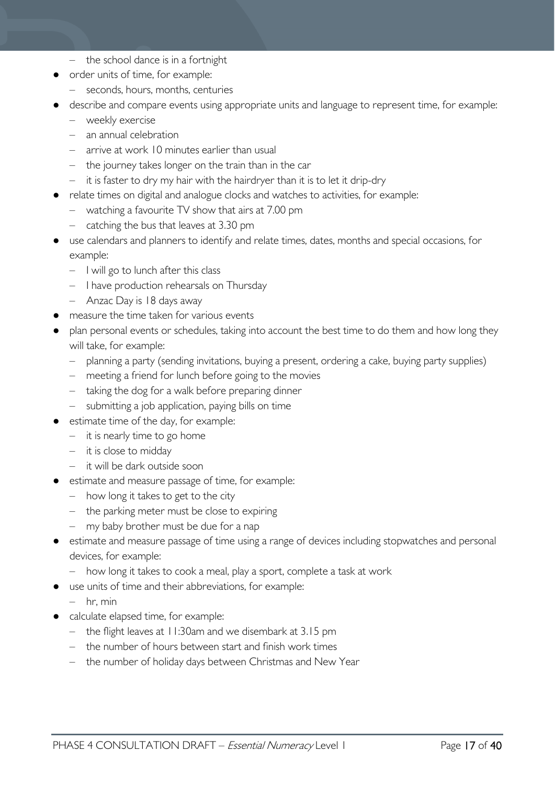- the school dance is in a fortnight
- order units of time, for example:
	- seconds, hours, months, centuries
- describe and compare events using appropriate units and language to represent time, for example:
	- weekly exercise
	- an annual celebration
	- arrive at work 10 minutes earlier than usual
	- the journey takes longer on the train than in the car
	- it is faster to dry my hair with the hairdryer than it is to let it drip-dry
- relate times on digital and analogue clocks and watches to activities, for example:
	- watching a favourite TV show that airs at 7.00 pm
		- catching the bus that leaves at 3.30 pm
- use calendars and planners to identify and relate times, dates, months and special occasions, for example:
	- I will go to lunch after this class
	- I have production rehearsals on Thursday
	- Anzac Day is 18 days away
- measure the time taken for various events
- plan personal events or schedules, taking into account the best time to do them and how long they will take, for example:
	- planning a party (sending invitations, buying a present, ordering a cake, buying party supplies)
	- meeting a friend for lunch before going to the movies
	- taking the dog for a walk before preparing dinner
	- submitting a job application, paying bills on time
- estimate time of the day, for example:
	- it is nearly time to go home
	- it is close to midday
	- it will be dark outside soon
- estimate and measure passage of time, for example:
	- how long it takes to get to the city
	- the parking meter must be close to expiring
	- my baby brother must be due for a nap
- estimate and measure passage of time using a range of devices including stopwatches and personal devices, for example:
	- how long it takes to cook a meal, play a sport, complete a task at work
- use units of time and their abbreviations, for example:
	- $-$  hr, min
- calculate elapsed time, for example:
	- the flight leaves at 11:30am and we disembark at 3.15 pm
	- the number of hours between start and finish work times
	- the number of holiday days between Christmas and New Year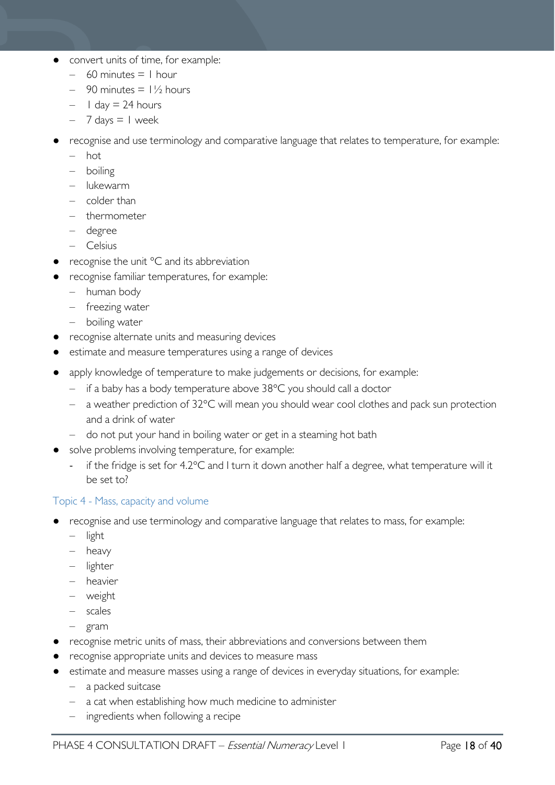- convert units of time, for example:
	- $-$  60 minutes  $=$  1 hour
	- $-$  90 minutes =  $1\frac{1}{2}$  hours
	- $-$  1 day  $=$  24 hours
	- $-7$  days  $= 1$  week
- recognise and use terminology and comparative language that relates to temperature, for example:
	- hot
	- boiling
	- lukewarm
	- colder than
	- thermometer
	- degree
	- Celsius
- recognise the unit  $\degree$ C and its abbreviation
- recognise familiar temperatures, for example:
	- human body
	- freezing water
	- boiling water
- recognise alternate units and measuring devices
- estimate and measure temperatures using a range of devices
- apply knowledge of temperature to make judgements or decisions, for example:
	- if a baby has a body temperature above 38°C you should call a doctor
	- a weather prediction of 32°C will mean you should wear cool clothes and pack sun protection and a drink of water
	- do not put your hand in boiling water or get in a steaming hot bath
- solve problems involving temperature, for example:
	- if the fridge is set for 4.2°C and I turn it down another half a degree, what temperature will it be set to?

#### Topic 4 - Mass, capacity and volume

- recognise and use terminology and comparative language that relates to mass, for example:
	- light
	- heavy
	- lighter
	- heavier
	- weight
	- scales
	- gram
- recognise metric units of mass, their abbreviations and conversions between them
- recognise appropriate units and devices to measure mass
- estimate and measure masses using a range of devices in everyday situations, for example:
	- a packed suitcase
	- a cat when establishing how much medicine to administer
	- ingredients when following a recipe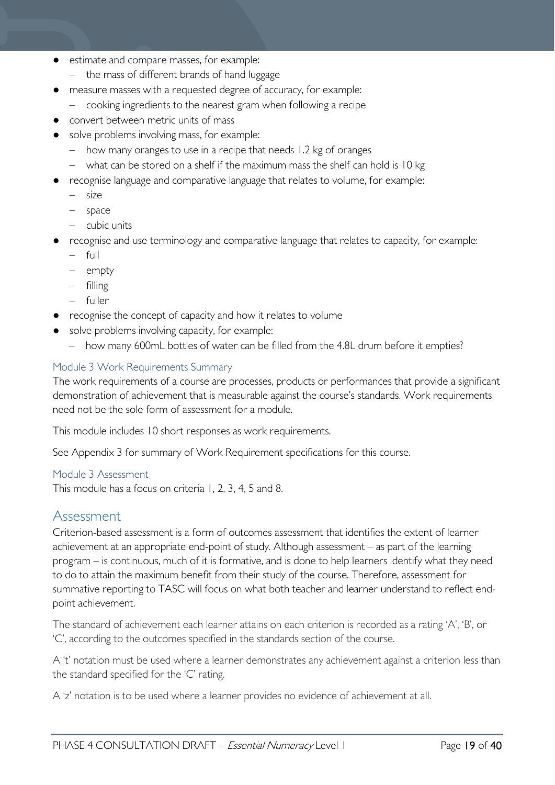- estimate and compare masses, for example:
	- the mass of different brands of hand luggage
- measure masses with a requested degree of accuracy, for example:
	- cooking ingredients to the nearest gram when following a recipe
- convert between metric units of mass
- solve problems involving mass, for example:
	- how many oranges to use in a recipe that needs 1.2 kg of oranges
	- what can be stored on a shelf if the maximum mass the shelf can hold is 10 kg
- recognise language and comparative language that relates to volume, for example:
	- size
	- space
	- cubic units
- recognise and use terminology and comparative language that relates to capacity, for example:
	- full
	- empty
	- filling
	- fuller
- recognise the concept of capacity and how it relates to volume
- solve problems involving capacity, for example:
	- how many 600mL bottles of water can be filled from the 4.8L drum before it empties?

#### <span id="page-18-0"></span>Module 3 Work Requirements Summary

The work requirements of a course are processes, products or performances that provide a significant demonstration of achievement that is measurable against the course's standards. Work requirements need not be the sole form of assessment for a module.

This module includes 10 short responses as work requirements.

See Appendix 3 for summary of Work Requirement specifications for this course.

#### <span id="page-18-1"></span>Module 3 Assessment

This module has a focus on criteria 1, 2, 3, 4, 5 and 8.

#### <span id="page-18-2"></span>Assessment

Criterion-based assessment is a form of outcomes assessment that identifies the extent of learner achievement at an appropriate end-point of study. Although assessment – as part of the learning program – is continuous, much of it is formative, and is done to help learners identify what they need to do to attain the maximum benefit from their study of the course. Therefore, assessment for summative reporting to TASC will focus on what both teacher and learner understand to reflect endpoint achievement.

The standard of achievement each learner attains on each criterion is recorded as a rating 'A', 'B', or 'C', according to the outcomes specified in the standards section of the course.

A 't' notation must be used where a learner demonstrates any achievement against a criterion less than the standard specified for the 'C' rating.

A 'z' notation is to be used where a learner provides no evidence of achievement at all.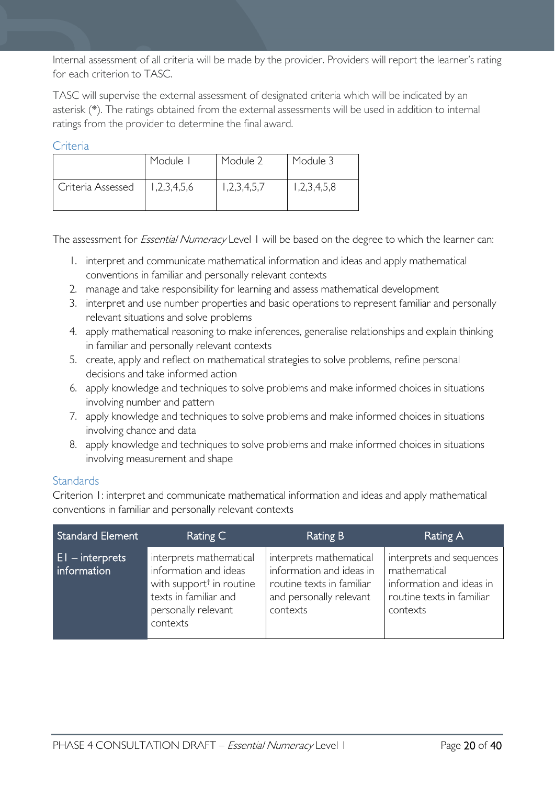Internal assessment of all criteria will be made by the provider. Providers will report the learner's rating for each criterion to TASC.

TASC will supervise the external assessment of designated criteria which will be indicated by an asterisk (\*). The ratings obtained from the external assessments will be used in addition to internal ratings from the provider to determine the final award.

#### <span id="page-19-0"></span>**Criteria**

|                   | Module I    | Module 2    | Module 3    |
|-------------------|-------------|-------------|-------------|
| Criteria Assessed | 1,2,3,4,5,6 | 1,2,3,4,5,7 | 1,2,3,4,5,8 |

The assessment for *Essential Numeracy* Level 1 will be based on the degree to which the learner can:

- 1. interpret and communicate mathematical information and ideas and apply mathematical conventions in familiar and personally relevant contexts
- 2. manage and take responsibility for learning and assess mathematical development
- 3. interpret and use number properties and basic operations to represent familiar and personally relevant situations and solve problems
- 4. apply mathematical reasoning to make inferences, generalise relationships and explain thinking in familiar and personally relevant contexts
- 5. create, apply and reflect on mathematical strategies to solve problems, refine personal decisions and take informed action
- 6. apply knowledge and techniques to solve problems and make informed choices in situations involving number and pattern
- 7. apply knowledge and techniques to solve problems and make informed choices in situations involving chance and data
- 8. apply knowledge and techniques to solve problems and make informed choices in situations involving measurement and shape

#### <span id="page-19-1"></span>**Standards**

Criterion 1: interpret and communicate mathematical information and ideas and apply mathematical conventions in familiar and personally relevant contexts

| <b>Standard Element</b>           | Rating C                                                                                                                                             | Rating B                                                                                                                | Rating A                                                                                                      |
|-----------------------------------|------------------------------------------------------------------------------------------------------------------------------------------------------|-------------------------------------------------------------------------------------------------------------------------|---------------------------------------------------------------------------------------------------------------|
| $ E $ – interprets<br>information | interprets mathematical<br>information and ideas<br>with support <sup>†</sup> in routine<br>texts in familiar and<br>personally relevant<br>contexts | interprets mathematical<br>information and ideas in<br>routine texts in familiar<br>and personally relevant<br>contexts | interprets and sequences<br>mathematical<br>information and ideas in<br>routine texts in familiar<br>contexts |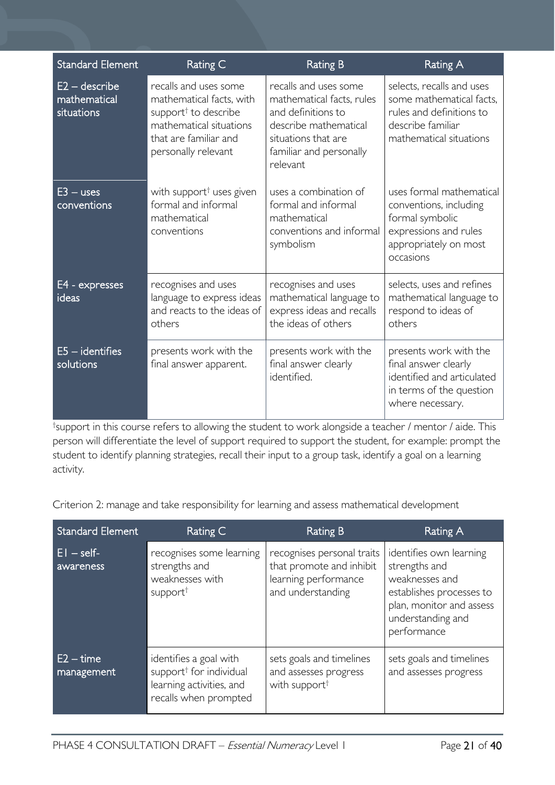| <b>Standard Element</b>                       | Rating C                                                                                                                                                         | <b>Rating B</b>                                                                                                                                                 | Rating A                                                                                                                             |
|-----------------------------------------------|------------------------------------------------------------------------------------------------------------------------------------------------------------------|-----------------------------------------------------------------------------------------------------------------------------------------------------------------|--------------------------------------------------------------------------------------------------------------------------------------|
| $E2 -$ describe<br>mathematical<br>situations | recalls and uses some<br>mathematical facts, with<br>support <sup>†</sup> to describe<br>mathematical situations<br>that are familiar and<br>personally relevant | recalls and uses some<br>mathematical facts, rules<br>and definitions to<br>describe mathematical<br>situations that are<br>familiar and personally<br>relevant | selects, recalls and uses<br>some mathematical facts.<br>rules and definitions to<br>describe familiar<br>mathematical situations    |
| $E3 - uses$<br>conventions                    | with support <sup>†</sup> uses given<br>formal and informal<br>mathematical<br>conventions                                                                       | uses a combination of<br>formal and informal<br>mathematical<br>conventions and informal<br>symbolism                                                           | uses formal mathematical<br>conventions, including<br>formal symbolic<br>expressions and rules<br>appropriately on most<br>occasions |
| E4 - expresses<br>ideas                       | recognises and uses<br>language to express ideas<br>and reacts to the ideas of<br>others                                                                         | recognises and uses<br>mathematical language to<br>express ideas and recalls<br>the ideas of others                                                             | selects, uses and refines<br>mathematical language to<br>respond to ideas of<br>others                                               |
| $E5$ – identifies<br>solutions                | presents work with the<br>final answer apparent.                                                                                                                 | presents work with the<br>final answer clearly<br>identified.                                                                                                   | presents work with the<br>final answer clearly<br>identified and articulated<br>in terms of the question<br>where necessary.         |

† support in this course refers to allowing the student to work alongside a teacher / mentor / aide. This person will differentiate the level of support required to support the student, for example: prompt the student to identify planning strategies, recall their input to a group task, identify a goal on a learning activity.

Criterion 2: manage and take responsibility for learning and assess mathematical development

| <b>Standard Element</b>   | Rating C                                                                                                           | <b>Rating B</b>                                                                                     | Rating A                                                                                                                                               |
|---------------------------|--------------------------------------------------------------------------------------------------------------------|-----------------------------------------------------------------------------------------------------|--------------------------------------------------------------------------------------------------------------------------------------------------------|
| $E1 - self$<br>awareness  | recognises some learning<br>strengths and<br>weaknesses with<br>support <sup>†</sup>                               | recognises personal traits<br>that promote and inhibit<br>learning performance<br>and understanding | identifies own learning<br>strengths and<br>weaknesses and<br>establishes processes to<br>plan, monitor and assess<br>understanding and<br>performance |
| $E2 - time$<br>management | identifies a goal with<br>support <sup>†</sup> for individual<br>learning activities, and<br>recalls when prompted | sets goals and timelines<br>and assesses progress<br>with support <sup>†</sup>                      | sets goals and timelines<br>and assesses progress                                                                                                      |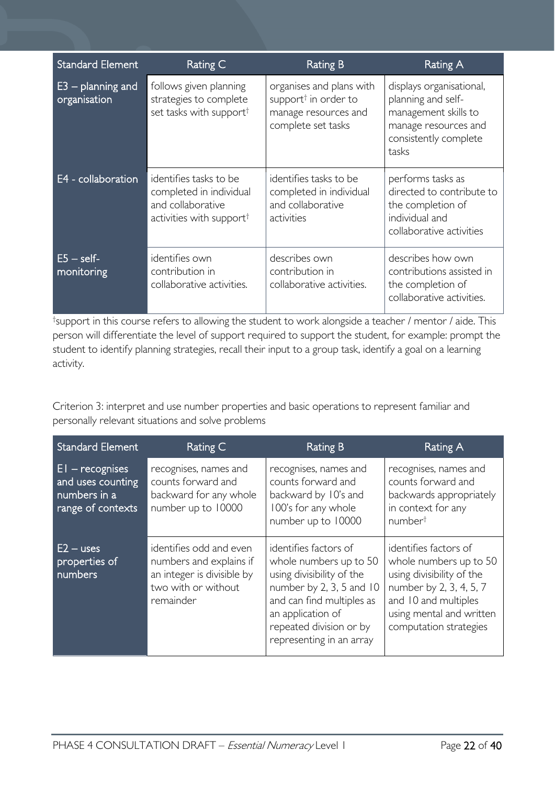| <b>Standard Element</b>             | Rating C                                                                                                       | <b>Rating B</b>                                                                                            | Rating A                                                                                                                         |
|-------------------------------------|----------------------------------------------------------------------------------------------------------------|------------------------------------------------------------------------------------------------------------|----------------------------------------------------------------------------------------------------------------------------------|
| $E3$ – planning and<br>organisation | follows given planning<br>strategies to complete<br>set tasks with support <sup>†</sup>                        | organises and plans with<br>support <sup>†</sup> in order to<br>manage resources and<br>complete set tasks | displays organisational,<br>planning and self-<br>management skills to<br>manage resources and<br>consistently complete<br>tasks |
| E4 - collaboration                  | identifies tasks to be<br>completed in individual<br>and collaborative<br>activities with support <sup>†</sup> | identifies tasks to be<br>completed in individual<br>and collaborative<br>activities                       | performs tasks as<br>directed to contribute to<br>the completion of<br>individual and<br>collaborative activities                |
| $E5 - self$<br>monitoring           | identifies own<br>contribution in<br>collaborative activities.                                                 | describes own<br>contribution in<br>collaborative activities.                                              | describes how own<br>contributions assisted in<br>the completion of<br>collaborative activities.                                 |

† support in this course refers to allowing the student to work alongside a teacher / mentor / aide. This person will differentiate the level of support required to support the student, for example: prompt the student to identify planning strategies, recall their input to a group task, identify a goal on a learning activity.

Criterion 3: interpret and use number properties and basic operations to represent familiar and personally relevant situations and solve problems

| <b>Standard Element</b>                                                     | Rating C                                                                                                             | <b>Rating B</b>                                                                                                                                                                                                   | Rating A                                                                                                                                                                              |
|-----------------------------------------------------------------------------|----------------------------------------------------------------------------------------------------------------------|-------------------------------------------------------------------------------------------------------------------------------------------------------------------------------------------------------------------|---------------------------------------------------------------------------------------------------------------------------------------------------------------------------------------|
| $EI - recognises$<br>and uses counting<br>numbers in a<br>range of contexts | recognises, names and<br>counts forward and<br>backward for any whole<br>number up to 10000                          | recognises, names and<br>counts forward and<br>backward by 10's and<br>100's for any whole<br>number up to 10000                                                                                                  | recognises, names and<br>counts forward and<br>backwards appropriately<br>in context for any<br>number <sup>t</sup>                                                                   |
| $E2 - uses$<br>properties of<br>numbers                                     | identifies odd and even<br>numbers and explains if<br>an integer is divisible by<br>two with or without<br>remainder | identifies factors of<br>whole numbers up to 50<br>using divisibility of the<br>number by 2, 3, 5 and 10<br>and can find multiples as<br>an application of<br>repeated division or by<br>representing in an array | identifies factors of<br>whole numbers up to 50<br>using divisibility of the<br>number by 2, 3, 4, 5, 7<br>and 10 and multiples<br>using mental and written<br>computation strategies |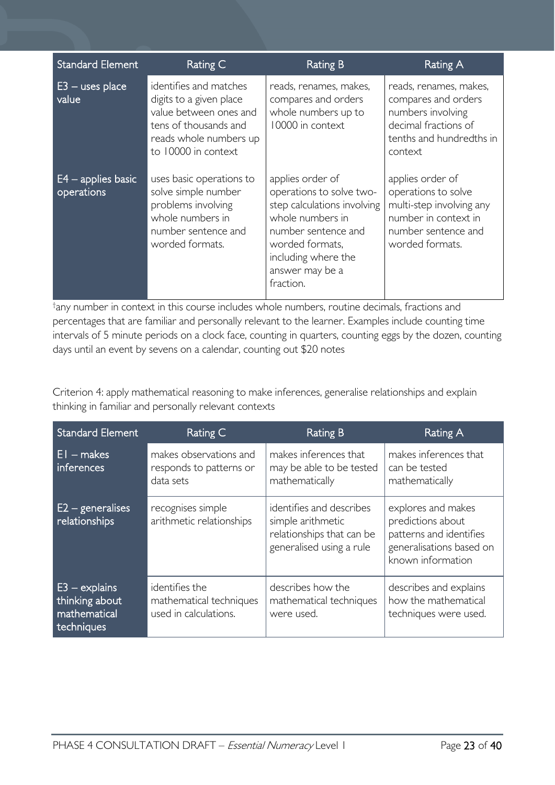| <b>Standard Element</b>            | Rating C                                                                                                                                              | <b>Rating B</b>                                                                                                                                                                                  | <b>Rating A</b>                                                                                                                       |
|------------------------------------|-------------------------------------------------------------------------------------------------------------------------------------------------------|--------------------------------------------------------------------------------------------------------------------------------------------------------------------------------------------------|---------------------------------------------------------------------------------------------------------------------------------------|
| $E3$ – uses place<br>value         | identifies and matches<br>digits to a given place<br>value between ones and<br>tens of thousands and<br>reads whole numbers up<br>to 10000 in context | reads, renames, makes,<br>compares and orders<br>whole numbers up to<br>10000 in context                                                                                                         | reads, renames, makes,<br>compares and orders<br>numbers involving<br>decimal fractions of<br>tenths and hundredths in<br>context     |
| $E4$ – applies basic<br>operations | uses basic operations to<br>solve simple number<br>problems involving<br>whole numbers in<br>number sentence and<br>worded formats.                   | applies order of<br>operations to solve two-<br>step calculations involving<br>whole numbers in<br>number sentence and<br>worded formats,<br>including where the<br>answer may be a<br>fraction. | applies order of<br>operations to solve<br>multi-step involving any<br>number in context in<br>number sentence and<br>worded formats. |

† any number in context in this course includes whole numbers, routine decimals, fractions and percentages that are familiar and personally relevant to the learner. Examples include counting time intervals of 5 minute periods on a clock face, counting in quarters, counting eggs by the dozen, counting days until an event by sevens on a calendar, counting out \$20 notes

Criterion 4: apply mathematical reasoning to make inferences, generalise relationships and explain thinking in familiar and personally relevant contexts

| <b>Standard Element</b>                                         | Rating C                                                           | Rating B                                                                                               | Rating A                                                                                                            |
|-----------------------------------------------------------------|--------------------------------------------------------------------|--------------------------------------------------------------------------------------------------------|---------------------------------------------------------------------------------------------------------------------|
| $EI$ – makes<br>inferences                                      | makes observations and<br>responds to patterns or<br>data sets     | makes inferences that<br>may be able to be tested<br>mathematically                                    | makes inferences that<br>can be tested<br>mathematically                                                            |
| $E2 -$ generalises<br>relationships                             | recognises simple<br>arithmetic relationships                      | identifies and describes<br>simple arithmetic<br>relationships that can be<br>generalised using a rule | explores and makes<br>predictions about<br>patterns and identifies<br>generalisations based on<br>known information |
| $E3 - explains$<br>thinking about<br>mathematical<br>techniques | identifies the<br>mathematical techniques<br>used in calculations. | describes how the<br>mathematical techniques<br>were used.                                             | describes and explains<br>how the mathematical<br>techniques were used.                                             |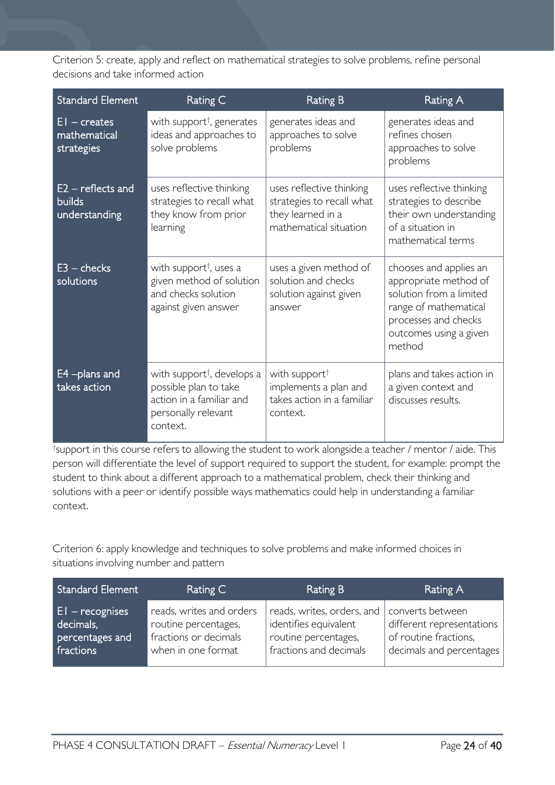Criterion 5: create, apply and reflect on mathematical strategies to solve problems, refine personal decisions and take informed action

| <b>Standard Element</b>                               | Rating C                                                                                                                       | <b>Rating B</b>                                                                                      | <b>Rating A</b>                                                                                                                                                 |
|-------------------------------------------------------|--------------------------------------------------------------------------------------------------------------------------------|------------------------------------------------------------------------------------------------------|-----------------------------------------------------------------------------------------------------------------------------------------------------------------|
| $EI - creates$<br>mathematical<br>strategies          | with support <sup>†</sup> , generates<br>ideas and approaches to<br>solve problems                                             | generates ideas and<br>approaches to solve<br>problems                                               | generates ideas and<br>refines chosen<br>approaches to solve<br>problems                                                                                        |
| $E2$ – reflects and<br><b>builds</b><br>understanding | uses reflective thinking<br>strategies to recall what<br>they know from prior<br>learning                                      | uses reflective thinking<br>strategies to recall what<br>they learned in a<br>mathematical situation | uses reflective thinking<br>strategies to describe<br>their own understanding<br>of a situation in<br>mathematical terms                                        |
| $E3 -$ checks<br>solutions                            | with support <sup>†</sup> , uses a<br>given method of solution<br>and checks solution<br>against given answer                  | uses a given method of<br>solution and checks<br>solution against given<br>answer                    | chooses and applies an<br>appropriate method of<br>solution from a limited<br>range of mathematical<br>processes and checks<br>outcomes using a given<br>method |
| E4-plans and<br>takes action                          | with support <sup>†</sup> , develops a<br>possible plan to take<br>action in a familiar and<br>personally relevant<br>context. | with support <sup>†</sup><br>implements a plan and<br>takes action in a familiar<br>context.         | plans and takes action in<br>a given context and<br>discusses results.                                                                                          |

† support in this course refers to allowing the student to work alongside a teacher / mentor / aide. This person will differentiate the level of support required to support the student, for example: prompt the student to think about a different approach to a mathematical problem, check their thinking and solutions with a peer or identify possible ways mathematics could help in understanding a familiar context.

Criterion 6: apply knowledge and techniques to solve problems and make informed choices in situations involving number and pattern

| Standard Element                                                | Rating C                                                                                        | Rating B                                                                                                                 | Rating A                                                                       |
|-----------------------------------------------------------------|-------------------------------------------------------------------------------------------------|--------------------------------------------------------------------------------------------------------------------------|--------------------------------------------------------------------------------|
| $ E $ – recognises<br>decimals,<br>percentages and<br>fractions | reads, writes and orders<br>routine percentages,<br>fractions or decimals<br>when in one format | reads, writes, orders, and   converts between<br>identifies equivalent<br>routine percentages,<br>fractions and decimals | different representations<br>of routine fractions,<br>decimals and percentages |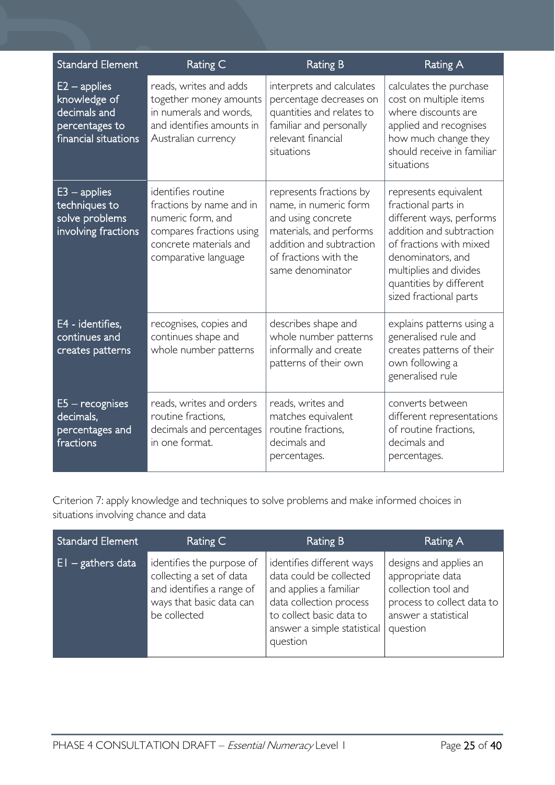| <b>Standard Element</b>                                                                  | Rating C                                                                                                                                          | <b>Rating B</b>                                                                                                                                                            | <b>Rating A</b>                                                                                                                                                                                                                     |
|------------------------------------------------------------------------------------------|---------------------------------------------------------------------------------------------------------------------------------------------------|----------------------------------------------------------------------------------------------------------------------------------------------------------------------------|-------------------------------------------------------------------------------------------------------------------------------------------------------------------------------------------------------------------------------------|
| $E2 - applies$<br>knowledge of<br>decimals and<br>percentages to<br>financial situations | reads, writes and adds<br>together money amounts<br>in numerals and words,<br>and identifies amounts in<br>Australian currency                    | interprets and calculates<br>percentage decreases on<br>quantities and relates to<br>familiar and personally<br>relevant financial<br>situations                           | calculates the purchase<br>cost on multiple items<br>where discounts are<br>applied and recognises<br>how much change they<br>should receive in familiar<br>situations                                                              |
| $E3$ – applies<br>techniques to<br>solve problems<br>involving fractions                 | identifies routine<br>fractions by name and in<br>numeric form, and<br>compares fractions using<br>concrete materials and<br>comparative language | represents fractions by<br>name, in numeric form<br>and using concrete<br>materials, and performs<br>addition and subtraction<br>of fractions with the<br>same denominator | represents equivalent<br>fractional parts in<br>different ways, performs<br>addition and subtraction<br>of fractions with mixed<br>denominators, and<br>multiplies and divides<br>quantities by different<br>sized fractional parts |
| E4 - identifies,<br>continues and<br>creates patterns                                    | recognises, copies and<br>continues shape and<br>whole number patterns                                                                            | describes shape and<br>whole number patterns<br>informally and create<br>patterns of their own                                                                             | explains patterns using a<br>generalised rule and<br>creates patterns of their<br>own following a<br>generalised rule                                                                                                               |
| $E5 -$ recognises<br>decimals,<br>percentages and<br>fractions                           | reads, writes and orders<br>routine fractions.<br>decimals and percentages<br>in one format.                                                      | reads, writes and<br>matches equivalent<br>routine fractions,<br>decimals and<br>percentages.                                                                              | converts between<br>different representations<br>of routine fractions,<br>decimals and<br>percentages.                                                                                                                              |

Criterion 7: apply knowledge and techniques to solve problems and make informed choices in situations involving chance and data

| <b>Standard Element</b> | Rating C                                                                                                                       | <b>Rating B</b>                                                                                                                                                                  | Rating A                                                                                                                            |
|-------------------------|--------------------------------------------------------------------------------------------------------------------------------|----------------------------------------------------------------------------------------------------------------------------------------------------------------------------------|-------------------------------------------------------------------------------------------------------------------------------------|
| $EI -$ gathers data     | identifies the purpose of<br>collecting a set of data<br>and identifies a range of<br>ways that basic data can<br>be collected | identifies different ways<br>data could be collected<br>and applies a familiar<br>data collection process<br>to collect basic data to<br>answer a simple statistical<br>question | designs and applies an<br>appropriate data<br>collection tool and<br>process to collect data to<br>answer a statistical<br>question |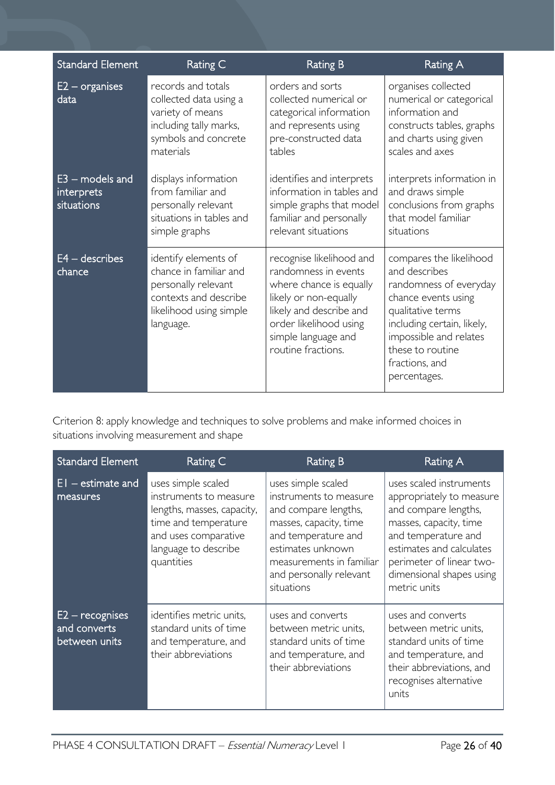| <b>Standard Element</b>                       | Rating C                                                                                                                               | <b>Rating B</b>                                                                                                                                                                                        | <b>Rating A</b>                                                                                                                                                                                                              |
|-----------------------------------------------|----------------------------------------------------------------------------------------------------------------------------------------|--------------------------------------------------------------------------------------------------------------------------------------------------------------------------------------------------------|------------------------------------------------------------------------------------------------------------------------------------------------------------------------------------------------------------------------------|
| $E2$ – organises<br>data                      | records and totals<br>collected data using a<br>variety of means<br>including tally marks,<br>symbols and concrete<br>materials        | orders and sorts<br>collected numerical or<br>categorical information<br>and represents using<br>pre-constructed data<br>tables                                                                        | organises collected<br>numerical or categorical<br>information and<br>constructs tables, graphs<br>and charts using given<br>scales and axes                                                                                 |
| $E3$ – models and<br>interprets<br>situations | displays information<br>from familiar and<br>personally relevant<br>situations in tables and<br>simple graphs                          | identifies and interprets<br>information in tables and<br>simple graphs that model<br>familiar and personally<br>relevant situations                                                                   | interprets information in<br>and draws simple<br>conclusions from graphs<br>that model familiar<br>situations                                                                                                                |
| E4 - describes<br>chance                      | identify elements of<br>chance in familiar and<br>personally relevant<br>contexts and describe<br>likelihood using simple<br>language. | recognise likelihood and<br>randomness in events<br>where chance is equally<br>likely or non-equally<br>likely and describe and<br>order likelihood using<br>simple language and<br>routine fractions. | compares the likelihood<br>and describes<br>randomness of everyday<br>chance events using<br>qualitative terms<br>including certain, likely,<br>impossible and relates<br>these to routine<br>fractions, and<br>percentages. |

Criterion 8: apply knowledge and techniques to solve problems and make informed choices in situations involving measurement and shape

| <b>Standard Element</b>                            | Rating C                                                                                                                                                         | Rating B                                                                                                                                                                                                        | Rating A                                                                                                                                                                                                                         |
|----------------------------------------------------|------------------------------------------------------------------------------------------------------------------------------------------------------------------|-----------------------------------------------------------------------------------------------------------------------------------------------------------------------------------------------------------------|----------------------------------------------------------------------------------------------------------------------------------------------------------------------------------------------------------------------------------|
| $EI - estimate$ and<br>measures                    | uses simple scaled<br>instruments to measure<br>lengths, masses, capacity,<br>time and temperature<br>and uses comparative<br>language to describe<br>quantities | uses simple scaled<br>instruments to measure<br>and compare lengths,<br>masses, capacity, time<br>and temperature and<br>estimates unknown<br>measurements in familiar<br>and personally relevant<br>situations | uses scaled instruments<br>appropriately to measure<br>and compare lengths,<br>masses, capacity, time<br>and temperature and<br>estimates and calculates<br>perimeter of linear two-<br>dimensional shapes using<br>metric units |
| $E2 -$ recognises<br>and converts<br>between units | identifies metric units,<br>standard units of time<br>and temperature, and<br>their abbreviations                                                                | uses and converts<br>between metric units,<br>standard units of time<br>and temperature, and<br>their abbreviations                                                                                             | uses and converts<br>between metric units,<br>standard units of time<br>and temperature, and<br>their abbreviations, and<br>recognises alternative<br>units                                                                      |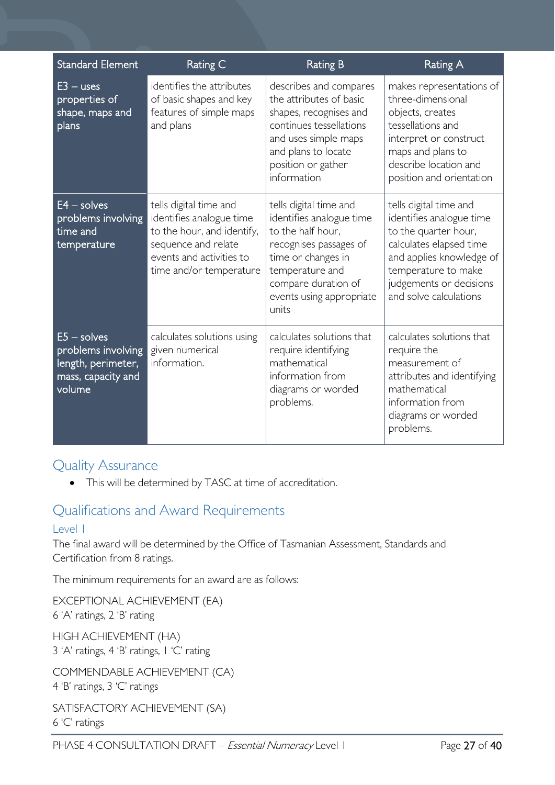| <b>Standard Element</b>                                                                   | Rating C                                                                                                                                                       | <b>Rating B</b>                                                                                                                                                                                        | <b>Rating A</b>                                                                                                                                                                                               |
|-------------------------------------------------------------------------------------------|----------------------------------------------------------------------------------------------------------------------------------------------------------------|--------------------------------------------------------------------------------------------------------------------------------------------------------------------------------------------------------|---------------------------------------------------------------------------------------------------------------------------------------------------------------------------------------------------------------|
| $E3 - uses$<br>properties of<br>shape, maps and<br>plans                                  | identifies the attributes<br>of basic shapes and key<br>features of simple maps<br>and plans                                                                   | describes and compares<br>the attributes of basic<br>shapes, recognises and<br>continues tessellations<br>and uses simple maps<br>and plans to locate<br>position or gather<br>information             | makes representations of<br>three-dimensional<br>objects, creates<br>tessellations and<br>interpret or construct<br>maps and plans to<br>describe location and<br>position and orientation                    |
| $E4 - solves$<br>problems involving<br>time and<br>temperature                            | tells digital time and<br>identifies analogue time<br>to the hour, and identify,<br>sequence and relate<br>events and activities to<br>time and/or temperature | tells digital time and<br>identifies analogue time<br>to the half hour,<br>recognises passages of<br>time or changes in<br>temperature and<br>compare duration of<br>events using appropriate<br>units | tells digital time and<br>identifies analogue time<br>to the quarter hour,<br>calculates elapsed time<br>and applies knowledge of<br>temperature to make<br>judgements or decisions<br>and solve calculations |
| $E5 -$ solves<br>problems involving<br>length, perimeter,<br>mass, capacity and<br>volume | calculates solutions using<br>given numerical<br>information.                                                                                                  | calculates solutions that<br>require identifying<br>mathematical<br>information from<br>diagrams or worded<br>problems.                                                                                | calculates solutions that<br>require the<br>measurement of<br>attributes and identifying<br>mathematical<br>information from<br>diagrams or worded<br>problems.                                               |

## <span id="page-26-0"></span>Quality Assurance

• This will be determined by TASC at time of accreditation.

## <span id="page-26-1"></span>Qualifications and Award Requirements

#### <span id="page-26-2"></span>Level 1

The final award will be determined by the Office of Tasmanian Assessment, Standards and Certification from 8 ratings.

The minimum requirements for an award are as follows:

EXCEPTIONAL ACHIEVEMENT (EA) 6 'A' ratings, 2 'B' rating

HIGH ACHIEVEMENT (HA) 3 'A' ratings, 4 'B' ratings, 1 'C' rating

COMMENDABLE ACHIEVEMENT (CA) 4 'B' ratings, 3 'C' ratings

```
SATISFACTORY ACHIEVEMENT (SA)
6 'C' ratings
```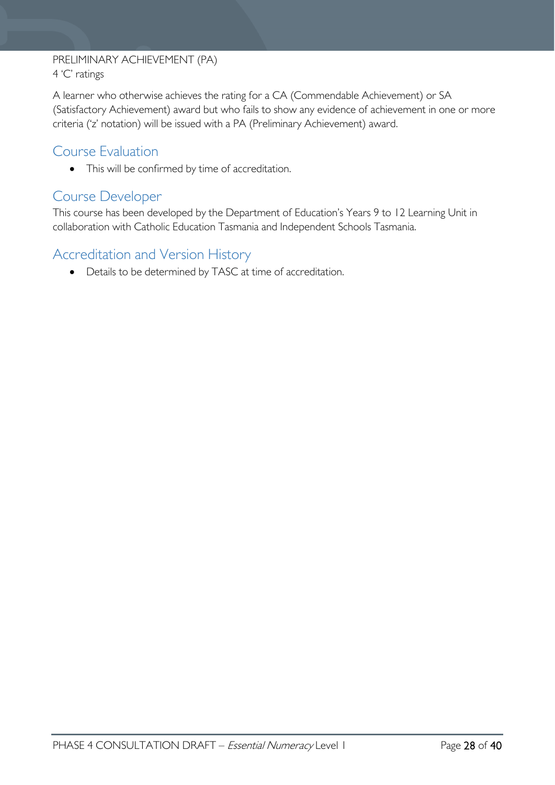#### PRELIMINARY ACHIEVEMENT (PA) 4 'C' ratings

A learner who otherwise achieves the rating for a CA (Commendable Achievement) or SA (Satisfactory Achievement) award but who fails to show any evidence of achievement in one or more criteria ('z' notation) will be issued with a PA (Preliminary Achievement) award.

## <span id="page-27-0"></span>Course Evaluation

• This will be confirmed by time of accreditation.

## <span id="page-27-1"></span>Course Developer

This course has been developed by the Department of Education's Years 9 to 12 Learning Unit in collaboration with Catholic Education Tasmania and Independent Schools Tasmania.

## <span id="page-27-2"></span>Accreditation and Version History

• Details to be determined by TASC at time of accreditation.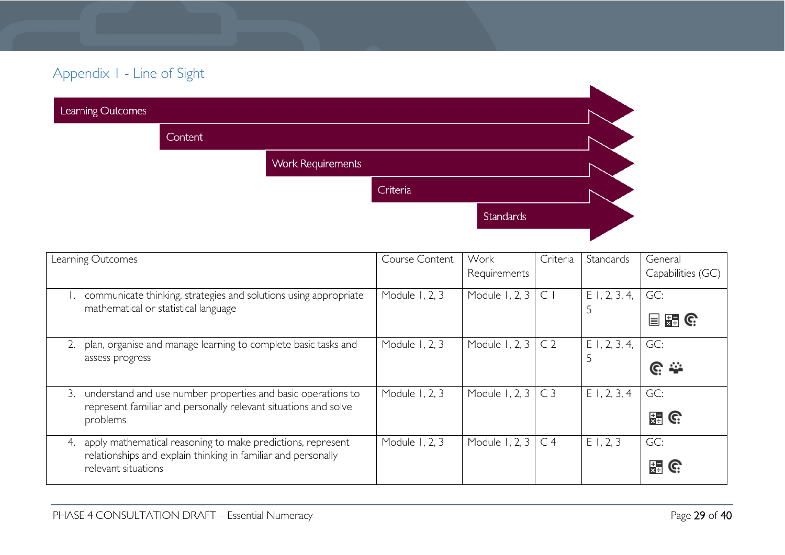## Appendix 1 - Line of Sight

| Learning Outcomes |                |                          |          |           |  |
|-------------------|----------------|--------------------------|----------|-----------|--|
|                   | <b>Content</b> |                          |          |           |  |
|                   |                | <b>Work Requirements</b> |          |           |  |
|                   |                |                          | Criteria |           |  |
|                   |                |                          |          | Standards |  |
|                   |                |                          |          |           |  |

<span id="page-28-0"></span>

| Learning Outcomes                                                                                                                                         | Course Content | Work<br>Requirements | Criteria       | Standards            | General<br>Capabilities (GC) |
|-----------------------------------------------------------------------------------------------------------------------------------------------------------|----------------|----------------------|----------------|----------------------|------------------------------|
| communicate thinking, strategies and solutions using appropriate<br>mathematical or statistical language                                                  | Module 1, 2, 3 | Module 1, 2, 3       | $\subset$      | $E$ 1, 2, 3, 4,<br>5 | GC:<br>$\frac{1}{2}$ G:<br>冒 |
| plan, organise and manage learning to complete basic tasks and<br>assess progress                                                                         | Module 1, 2, 3 | Module 1, 2, 3       | C <sub>2</sub> | $E$ 1, 2, 3, 4,      | GC:<br>$\mathbb{C} \cong$    |
| understand and use number properties and basic operations to<br>3.<br>represent familiar and personally relevant situations and solve<br>problems         | Module 1, 2, 3 | Module 1, 2, 3       | C <sub>3</sub> | E1, 2, 3, 4          | GC:<br>$\frac{1}{24}$ G      |
| apply mathematical reasoning to make predictions, represent<br>4.<br>relationships and explain thinking in familiar and personally<br>relevant situations | Module 1, 2, 3 | Module 1, 2, 3       | C <sub>4</sub> | E1, 2, 3             | GC:<br>물                     |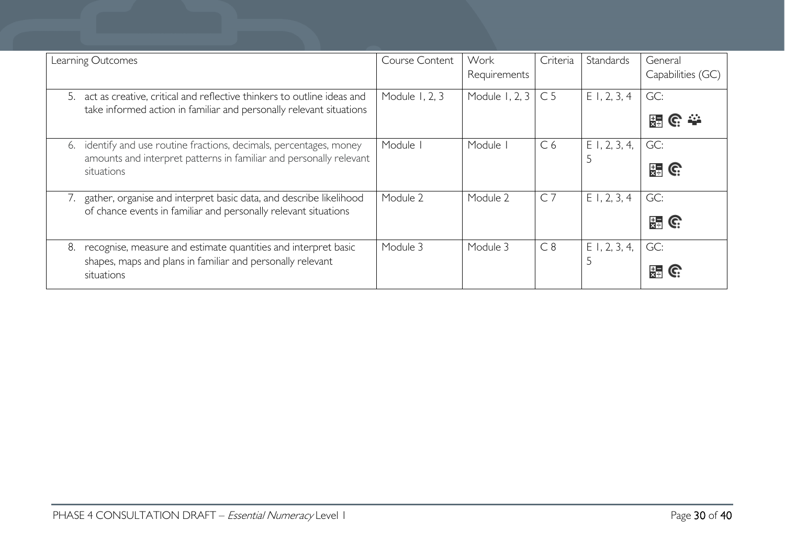| Learning Outcomes                                                                                                                                          | Course Content | Work<br>Requirements | Criteria       | Standards       | General<br>Capabilities (GC) |
|------------------------------------------------------------------------------------------------------------------------------------------------------------|----------------|----------------------|----------------|-----------------|------------------------------|
| act as creative, critical and reflective thinkers to outline ideas and<br>.5.<br>take informed action in familiar and personally relevant situations       | Module 1, 2, 3 | Module 1, 2, 3       | C <sub>5</sub> | $E$ 1, 2, 3, 4  | GC:<br>陽                     |
| identify and use routine fractions, decimals, percentages, money<br>6.<br>amounts and interpret patterns in familiar and personally relevant<br>situations | Module I       | Module I             | C <sub>6</sub> | $E$ 1, 2, 3, 4, | GC:<br>뜛<br>C.               |
| gather, organise and interpret basic data, and describe likelihood<br>7.<br>of chance events in familiar and personally relevant situations                | Module 2       | Module 2             | C <sub>7</sub> | $E$ 1, 2, 3, 4  | GC:<br>뜖<br>C.               |
| recognise, measure and estimate quantities and interpret basic<br>8.<br>shapes, maps and plans in familiar and personally relevant<br>situations           | Module 3       | Module 3             | C8             | $E$ 1, 2, 3, 4, | GC:<br>뜷                     |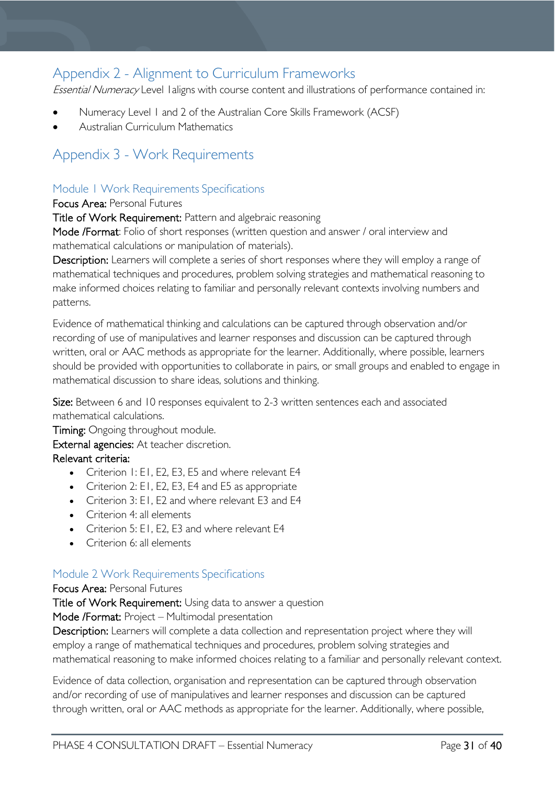## <span id="page-30-0"></span>Appendix 2 - Alignment to Curriculum Frameworks

Essential Numeracy Level 1 aligns with course content and illustrations of performance contained in:

- Numeracy Level 1 and 2 of the Australian Core Skills Framework (ACSF)
- Australian Curriculum Mathematics

## <span id="page-30-1"></span>Appendix 3 - Work Requirements

### <span id="page-30-2"></span>Module 1 Work Requirements Specifications

#### Focus Area: Personal Futures

Title of Work Requirement: Pattern and algebraic reasoning

Mode /Format: Folio of short responses (written question and answer / oral interview and mathematical calculations or manipulation of materials).

Description: Learners will complete a series of short responses where they will employ a range of mathematical techniques and procedures, problem solving strategies and mathematical reasoning to make informed choices relating to familiar and personally relevant contexts involving numbers and patterns.

Evidence of mathematical thinking and calculations can be captured through observation and/or recording of use of manipulatives and learner responses and discussion can be captured through written, oral or AAC methods as appropriate for the learner. Additionally, where possible, learners should be provided with opportunities to collaborate in pairs, or small groups and enabled to engage in mathematical discussion to share ideas, solutions and thinking.

Size: Between 6 and 10 responses equivalent to 2-3 written sentences each and associated mathematical calculations.

**Timing:** Ongoing throughout module. External agencies: At teacher discretion. Relevant criteria:

- Criterion 1: E1, E2, E3, E5 and where relevant E4
- Criterion 2: E1, E2, E3, E4 and E5 as appropriate
- Criterion 3: E1, E2 and where relevant E3 and E4
- Criterion 4: all elements
- Criterion 5: E1, E2, E3 and where relevant E4
- Criterion 6: all elements

#### <span id="page-30-3"></span>Module 2 Work Requirements Specifications

#### Focus Area: Personal Futures

Title of Work Requirement: Using data to answer a question

Mode /Format: Project – Multimodal presentation

Description: Learners will complete a data collection and representation project where they will employ a range of mathematical techniques and procedures, problem solving strategies and mathematical reasoning to make informed choices relating to a familiar and personally relevant context.

Evidence of data collection, organisation and representation can be captured through observation and/or recording of use of manipulatives and learner responses and discussion can be captured through written, oral or AAC methods as appropriate for the learner. Additionally, where possible,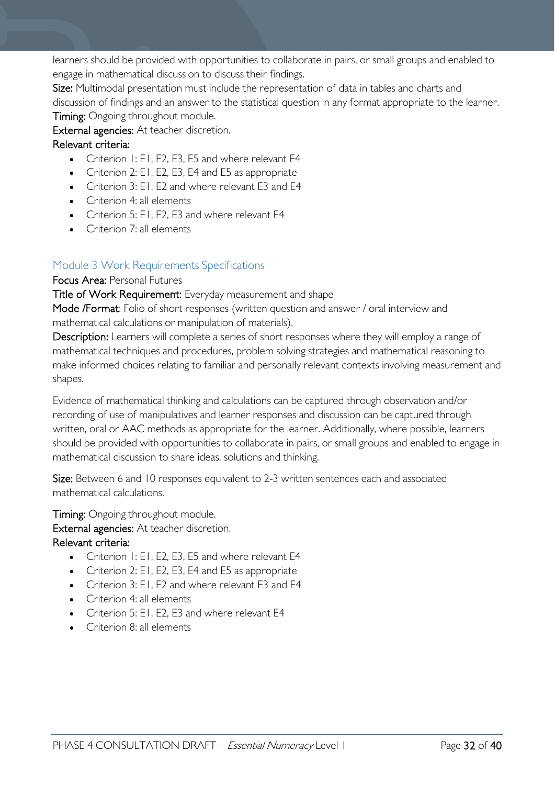learners should be provided with opportunities to collaborate in pairs, or small groups and enabled to engage in mathematical discussion to discuss their findings.

Size: Multimodal presentation must include the representation of data in tables and charts and discussion of findings and an answer to the statistical question in any format appropriate to the learner. Timing: Ongoing throughout module.

External agencies: At teacher discretion.

#### Relevant criteria:

- Criterion 1: E1, E2, E3, E5 and where relevant E4
- Criterion 2: E1, E2, E3, E4 and E5 as appropriate
- Criterion 3: E1, E2 and where relevant E3 and E4
- Criterion 4: all elements
- Criterion 5: E1, E2, E3 and where relevant E4
- Criterion 7: all elements

### <span id="page-31-0"></span>Module 3 Work Requirements Specifications

#### Focus Area: Personal Futures

Title of Work Requirement: Everyday measurement and shape

Mode /Format: Folio of short responses (written question and answer / oral interview and mathematical calculations or manipulation of materials).

Description: Learners will complete a series of short responses where they will employ a range of mathematical techniques and procedures, problem solving strategies and mathematical reasoning to make informed choices relating to familiar and personally relevant contexts involving measurement and shapes.

Evidence of mathematical thinking and calculations can be captured through observation and/or recording of use of manipulatives and learner responses and discussion can be captured through written, oral or AAC methods as appropriate for the learner. Additionally, where possible, learners should be provided with opportunities to collaborate in pairs, or small groups and enabled to engage in mathematical discussion to share ideas, solutions and thinking.

Size: Between 6 and 10 responses equivalent to 2-3 written sentences each and associated mathematical calculations.

Timing: Ongoing throughout module.

External agencies: At teacher discretion.

#### Relevant criteria:

- Criterion 1: E1, E2, E3, E5 and where relevant E4
- Criterion 2: E1, E2, E3, E4 and E5 as appropriate
- Criterion 3: E1, E2 and where relevant E3 and E4
- Criterion 4: all elements
- Criterion 5: E1, E2, E3 and where relevant E4
- Criterion 8: all elements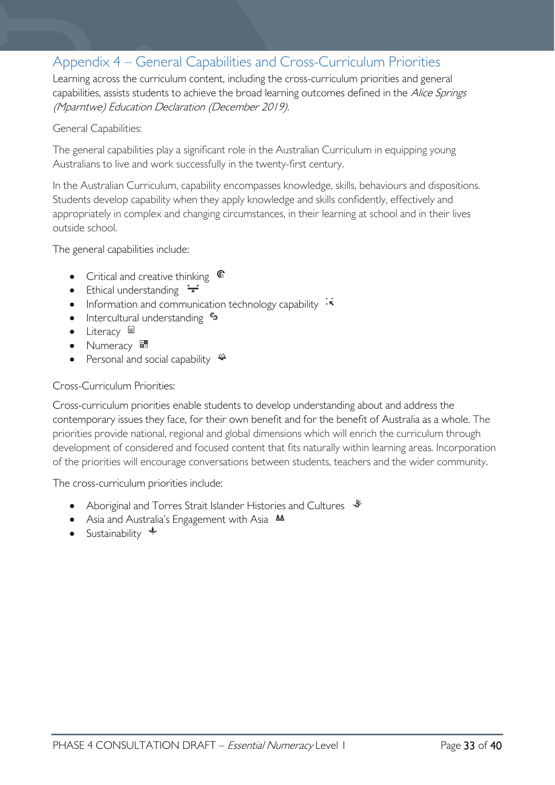## <span id="page-32-0"></span>Appendix 4 – General Capabilities and Cross-Curriculum Priorities

Learning across the curriculum content, including the cross-curriculum priorities and general capabilities, assists students to achieve the broad learning outcomes defined in the Alice Springs (Mparntwe) Education Declaration (December 2019).

#### General Capabilities:

The general capabilities play a significant role in the Australian Curriculum in equipping young Australians to live and work successfully in the twenty-first century.

In the Australian Curriculum, capability encompasses knowledge, skills, behaviours and dispositions. Students develop capability when they apply knowledge and skills confidently, effectively and appropriately in complex and changing circumstances, in their learning at school and in their lives outside school.

The general capabilities include:

- Critical and creative thinking  $\mathbb{C}$
- Ethical understanding  $\div$
- Information and communication technology capability  $\cdot \star$
- Intercultural understanding •
- Literacy  $\blacksquare$
- Numeracy
- Personal and social capability  $\ddot{\bullet}$

#### Cross-Curriculum Priorities:

Cross-curriculum priorities enable students to develop understanding about and address the contemporary issues they face, for their own benefit and for the benefit of Australia as a whole. The priorities provide national, regional and global dimensions which will enrich the curriculum through development of considered and focused content that fits naturally within learning areas. Incorporation of the priorities will encourage conversations between students, teachers and the wider community.

The cross-curriculum priorities include:

- Aboriginal and Torres Strait Islander Histories and Cultures  $\mathcal$
- Asia and Australia's Engagement with Asia **AA**
- Sustainability  $+$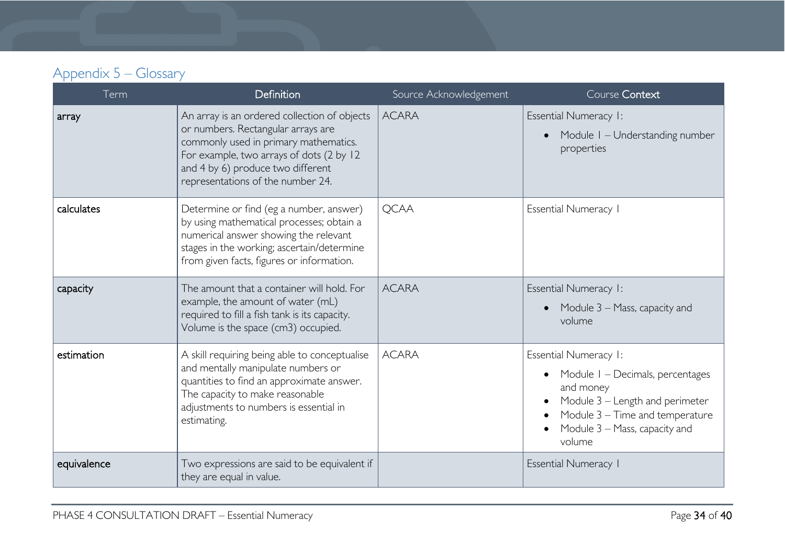## Appendix 5 – Glossary

<span id="page-33-0"></span>

| Term        | <b>Definition</b>                                                                                                                                                                                                                                 | Source Acknowledgement | Course Context                                                                                                                                                                                       |
|-------------|---------------------------------------------------------------------------------------------------------------------------------------------------------------------------------------------------------------------------------------------------|------------------------|------------------------------------------------------------------------------------------------------------------------------------------------------------------------------------------------------|
| array       | An array is an ordered collection of objects<br>or numbers. Rectangular arrays are<br>commonly used in primary mathematics.<br>For example, two arrays of dots (2 by 12<br>and 4 by 6) produce two different<br>representations of the number 24. | <b>ACARA</b>           | Essential Numeracy I:<br>Module I - Understanding number<br>properties                                                                                                                               |
| calculates  | Determine or find (eg a number, answer)<br>by using mathematical processes; obtain a<br>numerical answer showing the relevant<br>stages in the working; ascertain/determine<br>from given facts, figures or information.                          | <b>QCAA</b>            | <b>Essential Numeracy I</b>                                                                                                                                                                          |
| capacity    | The amount that a container will hold. For<br>example, the amount of water (mL)<br>required to fill a fish tank is its capacity.<br>Volume is the space (cm3) occupied.                                                                           | <b>ACARA</b>           | Essential Numeracy I:<br>Module 3 - Mass, capacity and<br>volume                                                                                                                                     |
| estimation  | A skill requiring being able to conceptualise<br>and mentally manipulate numbers or<br>quantities to find an approximate answer.<br>The capacity to make reasonable<br>adjustments to numbers is essential in<br>estimating.                      | <b>ACARA</b>           | Essential Numeracy I:<br>Module I - Decimals, percentages<br>and money<br>Module 3 - Length and perimeter<br>$\bullet$<br>Module 3 - Time and temperature<br>Module 3 - Mass, capacity and<br>volume |
| equivalence | Two expressions are said to be equivalent if<br>they are equal in value.                                                                                                                                                                          |                        | <b>Essential Numeracy I</b>                                                                                                                                                                          |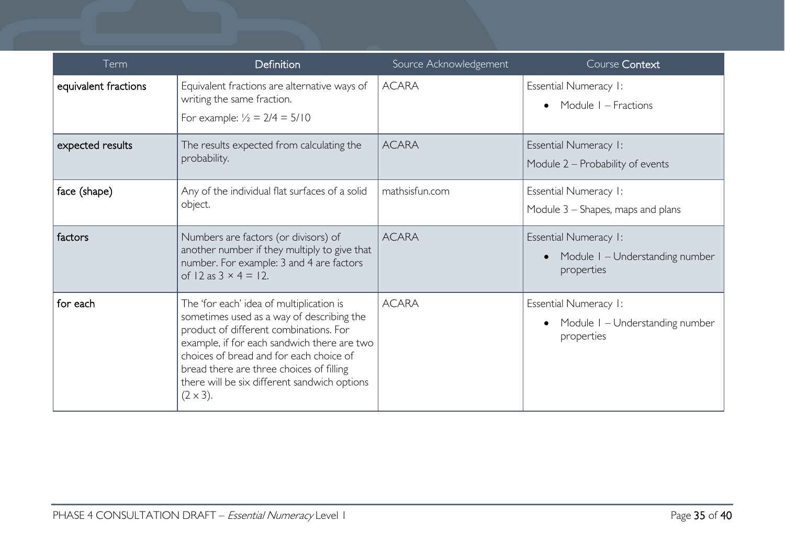| Term                 | <b>Definition</b>                                                                                                                                                                                                                                                                                                                         | Source Acknowledgement | Course Context                                                         |
|----------------------|-------------------------------------------------------------------------------------------------------------------------------------------------------------------------------------------------------------------------------------------------------------------------------------------------------------------------------------------|------------------------|------------------------------------------------------------------------|
| equivalent fractions | Equivalent fractions are alternative ways of<br>writing the same fraction.<br>For example: $\frac{1}{2} = 2/4 = 5/10$                                                                                                                                                                                                                     | <b>ACARA</b>           | Essential Numeracy I:<br>Module I – Fractions                          |
| expected results     | The results expected from calculating the<br>probability.                                                                                                                                                                                                                                                                                 | <b>ACARA</b>           | <b>Essential Numeracy I:</b><br>Module 2 - Probability of events       |
| face (shape)         | Any of the individual flat surfaces of a solid<br>object.                                                                                                                                                                                                                                                                                 | mathsisfun.com         | Essential Numeracy I:<br>Module $3$ – Shapes, maps and plans           |
| factors              | Numbers are factors (or divisors) of<br>another number if they multiply to give that<br>number. For example: 3 and 4 are factors<br>of 12 as $3 \times 4 = 12$ .                                                                                                                                                                          | <b>ACARA</b>           | Essential Numeracy I:<br>Module I – Understanding number<br>properties |
| for each             | The 'for each' idea of multiplication is<br>sometimes used as a way of describing the<br>product of different combinations. For<br>example, if for each sandwich there are two<br>choices of bread and for each choice of<br>bread there are three choices of filling<br>there will be six different sandwich options<br>$(2 \times 3)$ . | <b>ACARA</b>           | Essential Numeracy I:<br>Module I - Understanding number<br>properties |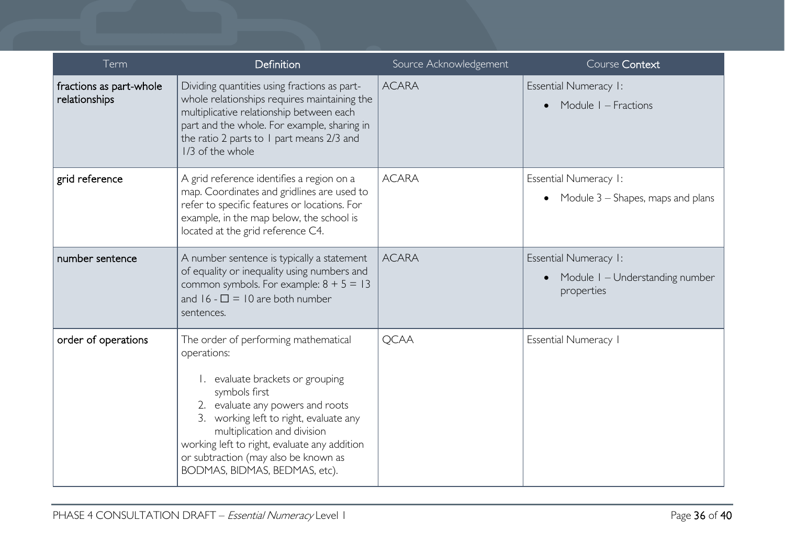| Term                                     | Definition                                                                                                                                                                                                                                                                                                                                     | Source Acknowledgement | Course Context                                                                  |
|------------------------------------------|------------------------------------------------------------------------------------------------------------------------------------------------------------------------------------------------------------------------------------------------------------------------------------------------------------------------------------------------|------------------------|---------------------------------------------------------------------------------|
| fractions as part-whole<br>relationships | Dividing quantities using fractions as part-<br>whole relationships requires maintaining the<br>multiplicative relationship between each<br>part and the whole. For example, sharing in<br>the ratio 2 parts to 1 part means 2/3 and<br>1/3 of the whole                                                                                       | <b>ACARA</b>           | <b>Essential Numeracy I:</b><br>Module I - Fractions                            |
| grid reference                           | A grid reference identifies a region on a<br>map. Coordinates and gridlines are used to<br>refer to specific features or locations. For<br>example, in the map below, the school is<br>located at the grid reference C4.                                                                                                                       | <b>ACARA</b>           | Essential Numeracy I:<br>• Module $3$ – Shapes, maps and plans                  |
| number sentence                          | A number sentence is typically a statement<br>of equality or inequality using numbers and<br>common symbols. For example: $8 + 5 = 13$<br>and $16 - \square = 10$ are both number<br>sentences.                                                                                                                                                | <b>ACARA</b>           | <b>Essential Numeracy I:</b><br>• Module I - Understanding number<br>properties |
| order of operations                      | The order of performing mathematical<br>operations:<br>1. evaluate brackets or grouping<br>symbols first<br>2. evaluate any powers and roots<br>3. working left to right, evaluate any<br>multiplication and division<br>working left to right, evaluate any addition<br>or subtraction (may also be known as<br>BODMAS, BIDMAS, BEDMAS, etc). | <b>QCAA</b>            | Essential Numeracy I                                                            |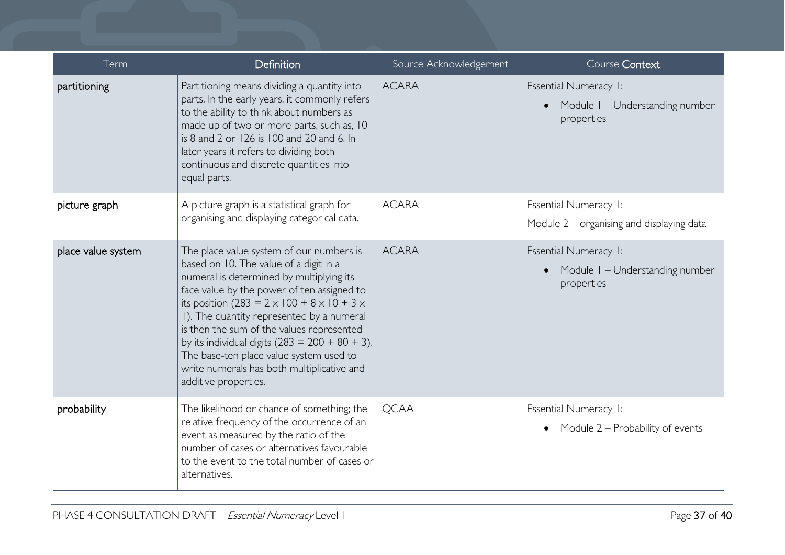| Term               | Definition                                                                                                                                                                                                                                                                                                                                                                                                                                                                                                  | Source Acknowledgement | Course Context                                                         |
|--------------------|-------------------------------------------------------------------------------------------------------------------------------------------------------------------------------------------------------------------------------------------------------------------------------------------------------------------------------------------------------------------------------------------------------------------------------------------------------------------------------------------------------------|------------------------|------------------------------------------------------------------------|
| partitioning       | Partitioning means dividing a quantity into<br>parts. In the early years, it commonly refers<br>to the ability to think about numbers as<br>made up of two or more parts, such as, 10<br>is 8 and 2 or 126 is 100 and 20 and 6. In<br>later years it refers to dividing both<br>continuous and discrete quantities into<br>equal parts.                                                                                                                                                                     | <b>ACARA</b>           | Essential Numeracy I:<br>Module I - Understanding number<br>properties |
| picture graph      | A picture graph is a statistical graph for<br>organising and displaying categorical data.                                                                                                                                                                                                                                                                                                                                                                                                                   | <b>ACARA</b>           | Essential Numeracy 1:<br>Module $2$ – organising and displaying data   |
| place value system | The place value system of our numbers is<br>based on 10. The value of a digit in a<br>numeral is determined by multiplying its<br>face value by the power of ten assigned to<br>its position (283 = $2 \times 100 + 8 \times 10 + 3 \times$<br>I). The quantity represented by a numeral<br>is then the sum of the values represented<br>by its individual digits $(283 = 200 + 80 + 3)$ .<br>The base-ten place value system used to<br>write numerals has both multiplicative and<br>additive properties. | <b>ACARA</b>           | Essential Numeracy I:<br>Module I - Understanding number<br>properties |
| probability        | The likelihood or chance of something; the<br>relative frequency of the occurrence of an<br>event as measured by the ratio of the<br>number of cases or alternatives favourable<br>to the event to the total number of cases or<br>alternatives.                                                                                                                                                                                                                                                            | <b>QCAA</b>            | Essential Numeracy 1:<br>• Module $2$ – Probability of events          |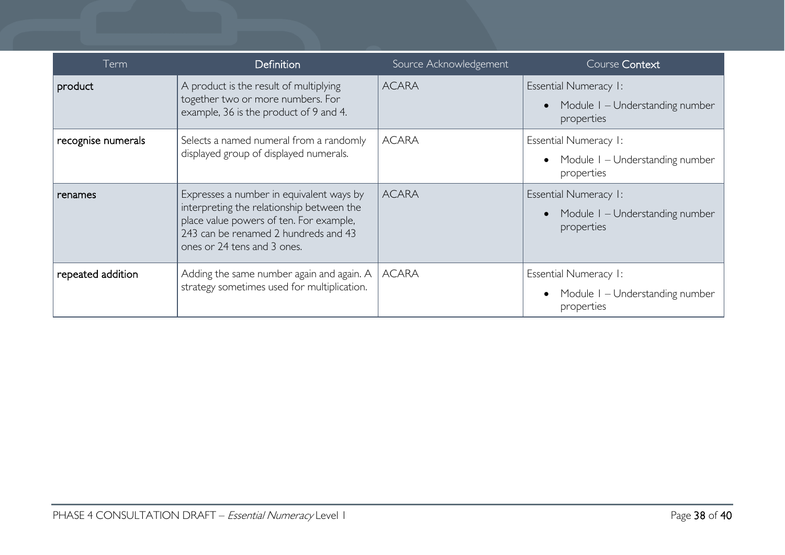| Term               | <b>Definition</b>                                                                                                                                                                                       | Source Acknowledgement | Course Context                                                                |
|--------------------|---------------------------------------------------------------------------------------------------------------------------------------------------------------------------------------------------------|------------------------|-------------------------------------------------------------------------------|
| product            | A product is the result of multiplying<br>together two or more numbers. For<br>example, 36 is the product of 9 and 4.                                                                                   | <b>ACARA</b>           | Essential Numeracy I:<br>Module I – Understanding number<br>properties        |
| recognise numerals | Selects a named numeral from a randomly<br>displayed group of displayed numerals.                                                                                                                       | <b>ACARA</b>           | Essential Numeracy I:<br>Module I – Understanding number<br>properties        |
| renames            | Expresses a number in equivalent ways by<br>interpreting the relationship between the<br>place value powers of ten. For example,<br>243 can be renamed 2 hundreds and 43<br>ones or 24 tens and 3 ones. | <b>ACARA</b>           | <b>Essential Numeracy I:</b><br>Module I – Understanding number<br>properties |
| repeated addition  | Adding the same number again and again. A<br>strategy sometimes used for multiplication.                                                                                                                | <b>ACARA</b>           | Essential Numeracy I:<br>Module I - Understanding number<br>properties        |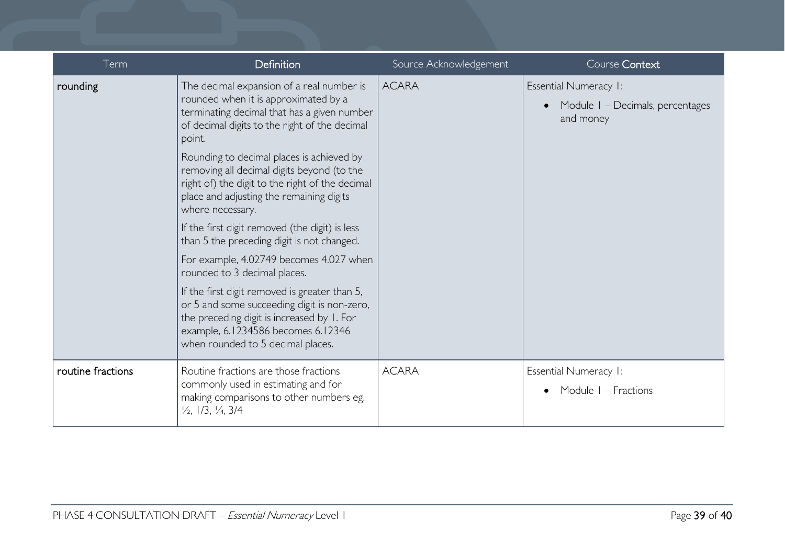| Term              | Definition                                                                                                                                                                                                                               | Source Acknowledgement | Course Context                                                                |
|-------------------|------------------------------------------------------------------------------------------------------------------------------------------------------------------------------------------------------------------------------------------|------------------------|-------------------------------------------------------------------------------|
| rounding          | The decimal expansion of a real number is<br>rounded when it is approximated by a<br>terminating decimal that has a given number<br>of decimal digits to the right of the decimal<br>point.<br>Rounding to decimal places is achieved by | <b>ACARA</b>           | <b>Essential Numeracy I:</b><br>Module I - Decimals, percentages<br>and money |
|                   | removing all decimal digits beyond (to the<br>right of) the digit to the right of the decimal<br>place and adjusting the remaining digits<br>where necessary.                                                                            |                        |                                                                               |
|                   | If the first digit removed (the digit) is less<br>than 5 the preceding digit is not changed.                                                                                                                                             |                        |                                                                               |
|                   | For example, 4.02749 becomes 4.027 when<br>rounded to 3 decimal places.                                                                                                                                                                  |                        |                                                                               |
|                   | If the first digit removed is greater than 5,<br>or 5 and some succeeding digit is non-zero,<br>the preceding digit is increased by 1. For<br>example, 6.1234586 becomes 6.12346<br>when rounded to 5 decimal places.                    |                        |                                                                               |
| routine fractions | Routine fractions are those fractions<br>commonly used in estimating and for<br>making comparisons to other numbers eg.<br>$\frac{1}{2}$ , 1/3, $\frac{1}{4}$ , 3/4                                                                      | <b>ACARA</b>           | Essential Numeracy 1:                                                         |
|                   |                                                                                                                                                                                                                                          |                        | Module I – Fractions                                                          |